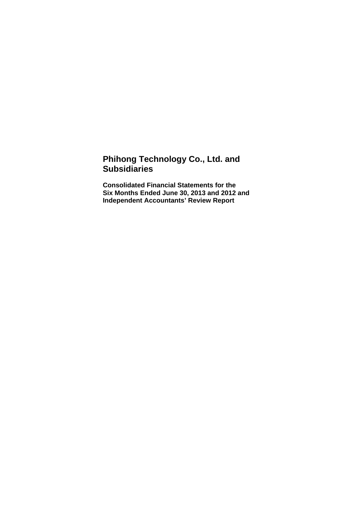## **Phihong Technology Co., Ltd. and Subsidiaries**

**Consolidated Financial Statements for the Six Months Ended June 30, 2013 and 2012 and Independent Accountants' Review Report**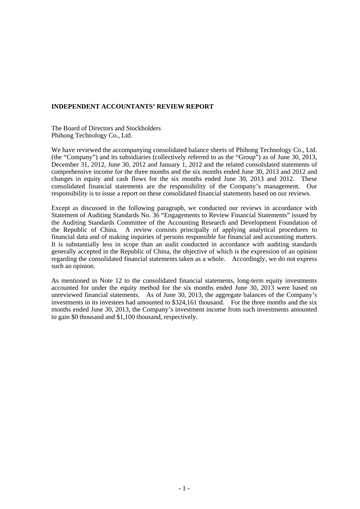#### **INDEPENDENT ACCOUNTANTS' REVIEW REPORT**

The Board of Directors and Stockholders Phihong Technology Co., Ltd.

We have reviewed the accompanying consolidated balance sheets of Phihong Technology Co., Ltd. (the "Company") and its subsidiaries (collectively referred to as the "Group") as of June 30, 2013, December 31, 2012, June 30, 2012 and January 1, 2012 and the related consolidated statements of comprehensive income for the three months and the six months ended June 30, 2013 and 2012 and changes in equity and cash flows for the six months ended June 30, 2013 and 2012. These consolidated financial statements are the responsibility of the Company's management. Our responsibility is to issue a report on these consolidated financial statements based on our reviews.

Except as discussed in the following paragraph, we conducted our reviews in accordance with Statement of Auditing Standards No. 36 "Engagements to Review Financial Statements" issued by the Auditing Standards Committee of the Accounting Research and Development Foundation of the Republic of China. A review consists principally of applying analytical procedures to financial data and of making inquiries of persons responsible for financial and accounting matters. It is substantially less in scope than an audit conducted in accordance with auditing standards generally accepted in the Republic of China, the objective of which is the expression of an opinion regarding the consolidated financial statements taken as a whole. Accordingly, we do not express such an opinion.

As mentioned in Note 12 to the consolidated financial statements, long-term equity investments accounted for under the equity method for the six months ended June 30, 2013 were based on unreviewed financial statements. As of June 30, 2013, the aggregate balances of the Company's investments in its investees had amounted to \$324,161 thousand. For the three months and the six months ended June 30, 2013, the Company's investment income from such investments amounted to gain \$0 thousand and \$1,100 thousand, respectively.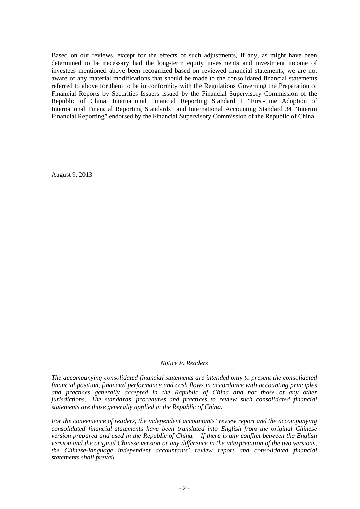Based on our reviews, except for the effects of such adjustments, if any, as might have been determined to be necessary had the long-term equity investments and investment income of investees mentioned above been recognized based on reviewed financial statements, we are not aware of any material modifications that should be made to the consolidated financial statements referred to above for them to be in conformity with the Regulations Governing the Preparation of Financial Reports by Securities Issuers issued by the Financial Supervisory Commission of the Republic of China, International Financial Reporting Standard 1 "First-time Adoption of International Financial Reporting Standards" and International Accounting Standard 34 "Interim Financial Reporting" endorsed by the Financial Supervisory Commission of the Republic of China.

August 9, 2013

#### *Notice to Readers*

*The accompanying consolidated financial statements are intended only to present the consolidated financial position, financial performance and cash flows in accordance with accounting principles and practices generally accepted in the Republic of China and not those of any other jurisdictions. The standards, procedures and practices to review such consolidated financial statements are those generally applied in the Republic of China.* 

*For the convenience of readers, the independent accountants' review report and the accompanying consolidated financial statements have been translated into English from the original Chinese version prepared and used in the Republic of China. If there is any conflict between the English version and the original Chinese version or any difference in the interpretation of the two versions, the Chinese-language independent accountants' review report and consolidated financial statements shall prevail.*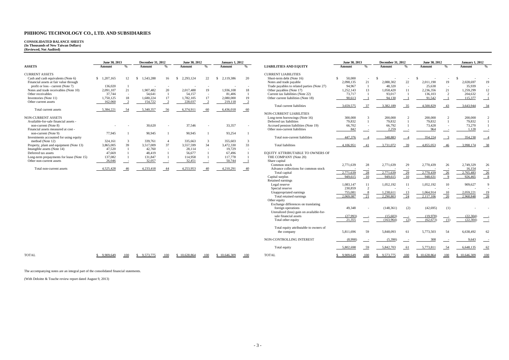# **CONSOLIDATED BALANCE SHEETS (In Thousands of New Taiwan Dollars) (Reviewed, Not Audited)**

|                                           | June 30, 2013 |                         | <b>December 31, 2012</b> |     | June 30, 2012 |                    | <b>January 1, 2012</b> |               |                                             | June 30, 2013 |     | <b>December 31, 2012</b> |               | June 30, 2012 |                    | <b>January 1, 2012</b> |                     |
|-------------------------------------------|---------------|-------------------------|--------------------------|-----|---------------|--------------------|------------------------|---------------|---------------------------------------------|---------------|-----|--------------------------|---------------|---------------|--------------------|------------------------|---------------------|
| <b>ASSETS</b>                             | Amount        | $\mathbf{O}_\mathbf{A}$ | Amount                   |     | Amount        | $\frac{0}{\alpha}$ | Amount                 | $\frac{0}{2}$ | <b>LIABILITIES AND EQUITY</b>               | Amount        | 0/2 | Amount                   | $\frac{0}{0}$ | Amount        | $\frac{0}{\alpha}$ | Amount                 | $\mathbf{O}_\alpha$ |
| <b>CURRENT ASSETS</b>                     |               |                         |                          |     |               |                    |                        |               | <b>CURRENT LIABILITIES</b>                  |               |     |                          |               |               |                    |                        |                     |
| Cash and cash equivalents (Note 6)        | \$1,207,165   |                         | 1,543,288                | 16  | 2,293,124     | 22                 | 2,119,386              | 20            | Short-term debt (Note 16)                   | 50,000        |     |                          |               |               |                    |                        |                     |
| Financial assets at fair value through    |               |                         |                          |     |               |                    |                        |               | Notes and trade payable                     | 2,098,135     | 21  | 2.088.302                | 22            | 2,011,190     | 19                 | 2,028,697              | 19                  |
| profit or loss - current (Note 7)         | 136,020       |                         |                          |     |               |                    |                        |               | Trade payables to related parties (Note 27) | 94.967        |     | 48.320                   |               | 25,638        |                    | 35,939                 |                     |
| Notes and trade receivables (Note 10)     | 2,091,107     | 21                      | 1,907,482                | 20  | 2,017,488     | 19                 | 1,936,108              | 18            | Other payables (Note 17)                    | 1,252,143     |     | 1,058,420                |               | 2,236,356     | 21                 | 1,259,299              |                     |
| Other receivables                         | 37,744        |                         | 54,641                   |     | 54.157        |                    | 81,406                 |               | Current tax liabilities (Note 22)           | 73,717        |     | 93,017                   |               | 136,103       |                    | 204,632                |                     |
| Inventories (Note 11)                     | 1,750,125     |                         | 1,680,224                |     | 1,782,105     |                    | 2,080,000              | 19            | Other current liabilities (Note 18)         | 90,613        |     | 94,130                   |               | 91.542        |                    | 115,377                |                     |
| Other current assets                      | 162,060       |                         | 154,722                  |     | 228,037       |                    | 219,118                |               |                                             |               |     |                          |               |               |                    |                        |                     |
|                                           |               |                         |                          |     |               |                    |                        |               | Total current liabilities                   | 3,659,575     | 37  | 3,382,189                | 35            | 4,500,829     | 43                 | 3,643,944              | 34                  |
| Total current assets                      | 5,384,221     | -54                     | 5,340,357                | -56 | 6,374,911     | 60                 | 6,436,018              | $-60$         |                                             |               |     |                          |               |               |                    |                        |                     |
|                                           |               |                         |                          |     |               |                    |                        |               | <b>NON-CURRENT LIABILITIES</b>              |               |     |                          |               |               |                    |                        |                     |
| <b>NON-CURRENT ASSETS</b>                 |               |                         |                          |     |               |                    |                        |               | Long-term borrowings (Note 16)              | 300,000       |     | 200,000                  |               | 200,000       |                    | 200,000                |                     |
| Available-for-sale financial assets -     |               |                         |                          |     |               |                    |                        |               | Deferred tax liabilities                    | 79.832        |     | 79.832                   |               | 79.832        |                    | 79,832                 |                     |
| non-current (Note 8)                      |               |                         | 30,620                   |     | 37.546        |                    | 33,357                 |               | Accrued pension liabilities (Note 19)       | 66,702        |     | 66,792                   |               | 73,428        |                    | 73,270                 |                     |
| Financial assets measured at cost-        |               |                         |                          |     |               |                    |                        |               | Other non-current liabilities               | 842           |     | 2,259                    |               | 964           |                    | 1,128                  |                     |
| non-current (Note 9)                      | 77,945        |                         | 90,945                   |     | 90,945        |                    | 93,254                 |               |                                             |               |     |                          |               |               |                    |                        |                     |
| Investments accounted for using equity    |               |                         |                          |     |               |                    |                        |               | Total non-current liabilities               | 447,376       |     | 348,883                  |               | 354,224       |                    | 354,230                |                     |
| method (Note 12)                          | 324,161       |                         | 339,761                  |     | 335,663       |                    | 355,603                |               |                                             |               |     |                          |               |               |                    |                        |                     |
| Property, plant and equipment (Note 13)   | 3,865,005     | 39                      | 3,517,009                | 37  | 3,557,599     | 34                 | 3,472,330              | 33            | <b>Total liabilities</b>                    | 4,106,951     |     | 3,731,072                | 39            | 4,855,053     | 46                 | 3,998,174              |                     |
| Intangible assets (Note 14)               | 47,520        |                         | 42,760                   |     | 28.114        |                    | 19,729                 |               |                                             |               |     |                          |               |               |                    |                        |                     |
| Deferred tax assets                       | 47.669        |                         | 48,419                   |     | 56,677        |                    | 67,496                 |               | EQUITY ATTRIBUTABLE TO OWNERS OF            |               |     |                          |               |               |                    |                        |                     |
| Long-term prepayments for lease (Note 15) | 137,082       |                         | 131,847                  |     | 114.958       |                    | 117,778                |               | THE COMPANY (Note 20)                       |               |     |                          |               |               |                    |                        |                     |
| Other non-current assets                  | 26,046        |                         | 32,057                   |     | 32,451        |                    | 50,744                 |               | Share capital                               |               |     |                          |               |               |                    |                        |                     |
|                                           |               |                         |                          |     |               |                    |                        |               | Common stock                                | 2,771,639     | 28  | 2,771,639                | 29            | 2,770,439     | 26                 | 2,749,329              | 26                  |
| Total non-current assets                  | 4,525,428     |                         | 4,233,418                |     | 4,253,953     |                    | 4,210,291              | $-40$         | Advance collections for common stock        |               |     |                          |               |               |                    | 16.154                 |                     |
|                                           |               |                         |                          |     |               |                    |                        |               | Total capital                               | 2,771,639     | 28  | 2,771,639                | 29            | 2,770,439     | 26                 | 2,765,483              | 26                  |

|                                           | June 30, 2013 |                            | December 31, 2012 |                          | June 30, 2012   |                            | <b>January 1, 2012</b> |               |                                             | June 30, 2013 |                 | <b>December 31, 2012</b> |                 | June 30, 2012 |                 | <b>January 1, 2012</b> |                          |
|-------------------------------------------|---------------|----------------------------|-------------------|--------------------------|-----------------|----------------------------|------------------------|---------------|---------------------------------------------|---------------|-----------------|--------------------------|-----------------|---------------|-----------------|------------------------|--------------------------|
| <b>ASSETS</b>                             | Amount        | $\frac{9}{6}$              | Amount            | $\frac{0}{n}$            | Amount          | $\frac{0}{0}$              | Amount                 | $\frac{0}{0}$ | <b>LIABILITIES AND EQUITY</b>               | Amount        | $\frac{0}{2}$   | Amount                   | $\frac{0}{0}$   | Amount        | $\frac{9}{6}$   | Amount                 | $\frac{0}{\alpha}$       |
| <b>CURRENT ASSETS</b>                     |               |                            |                   |                          |                 |                            |                        |               | <b>CURRENT LIABILITIES</b>                  |               |                 |                          |                 |               |                 |                        |                          |
| Cash and cash equivalents (Note 6)        | \$1,207,165   | 12                         | 1,543,288<br>-S   | 16                       | 2,293,124<br>S. | 22                         | 2,119,386<br>-S        | 20            | Short-term debt (Note 16)                   | 50,000<br>-S  |                 | -8                       |                 |               |                 | -8                     |                          |
| Financial assets at fair value through    |               |                            |                   |                          |                 |                            |                        |               | Notes and trade payable                     | 2.098.135     | 21              | 2.088.302                | 22              | 2.011.190     | 19              | 2.028.697              | 19                       |
| profit or loss - current (Note 7)         | 136,020       |                            |                   |                          |                 |                            |                        |               | Trade payables to related parties (Note 27) | 94,967        | -1              | 48,320                   | $\sim$          | 25.638        |                 | 35,939                 |                          |
| Notes and trade receivables (Note 10)     | 2,091,107     | 21                         | 1,907,482         | 20                       | 2,017,488       | 19                         | 1,936,108              | 18            | Other payables (Note 17)                    | 1,252,143     | 13              | 1,058,420                | 11              | 2,236,356     | 21              | 1,259,299              | $12\,$                   |
| Other receivables                         | 37,744        | $\sim$                     | 54,641            |                          | 54,157          | $\overline{\phantom{a}}$   | 81,406                 |               | Current tax liabilities (Note 22)           | 73,717        | $\mathbf{1}$    | 93,017                   |                 | 136,103       | 2               | 204,632                | 2                        |
| Inventories (Note 11)                     | 1,750,125     | 18                         | 1,680,224         | 17                       | 1,782,105       | 17                         | 2,080,000              | 19            | Other current liabilities (Note 18)         | 90,613        |                 | 94,130                   |                 | 91,542        |                 | 115,377                | $\overline{\phantom{0}}$ |
| Other current assets                      | 162,060       | $\overline{\phantom{0}}^2$ | 154,722           | $\overline{\phantom{0}}$ | 228,037         | $\overline{\phantom{0}}^2$ | 219,118                | $-2$          |                                             |               |                 |                          |                 |               |                 |                        |                          |
|                                           |               |                            |                   |                          |                 |                            |                        |               | Total current liabilities                   | 3,659,575     | - 37            | 3,382,189                | 35              | 4,500,829     | 43              | 3,643,944              | $-34$                    |
| Total current assets                      | 5,384,221     | 54                         | 5,340,357         | 56                       | 6,374,911       | 60                         | 6,436,018              | $-60$         |                                             |               |                 |                          |                 |               |                 |                        |                          |
|                                           |               |                            |                   |                          |                 |                            |                        |               | <b>NON-CURRENT LIABILITIES</b>              |               |                 |                          |                 |               |                 |                        |                          |
| <b>NON-CURRENT ASSETS</b>                 |               |                            |                   |                          |                 |                            |                        |               | Long-term borrowings (Note 16)              | 300,000       | 3               | 200,000                  | $\overline{2}$  | 200,000       | $\overline{2}$  | 200,000                | 2                        |
| Available-for-sale financial assets -     |               |                            |                   |                          |                 |                            |                        |               | Deferred tax liabilities                    | 79,832        |                 | 79,832                   |                 | 79,832        |                 | 79,832                 | $\overline{1}$           |
| non-current (Note 8)                      |               |                            | 30,620            |                          | 37,546          | $\sim$                     | 33,357                 |               | Accrued pension liabilities (Note 19)       | 66,702        |                 | 66,792                   |                 | 73,428        |                 | 73,270                 | $\overline{1}$           |
| Financial assets measured at cost -       |               |                            |                   |                          |                 |                            |                        |               | Other non-current liabilities               | 842           |                 | 2,259                    |                 | 964           |                 | 1,128                  | шń                       |
| non-current (Note 9)                      | 77,945        |                            | 90.945            |                          | 90,945          |                            | 93,254                 |               |                                             |               |                 |                          |                 |               |                 |                        |                          |
| Investments accounted for using equity    |               |                            |                   |                          |                 |                            |                        |               | Total non-current liabilities               | 447.376       |                 | 348,883                  |                 | 354,224       |                 | 354,230                |                          |
| method (Note 12)                          | 324,161       | $\mathbf{3}$               | 339,761           | $\overline{4}$           | 335,663         | $\mathcal{R}$              | 355,603                | $\mathbf{3}$  |                                             |               |                 |                          |                 |               |                 |                        |                          |
| Property, plant and equipment (Note 13)   | 3,865,005     | 39                         | 3,517,009         | 37                       | 3,557,599       | 34                         | 3,472,330              | 33            | <b>Total liabilities</b>                    | 4,106,951     | 41              | 3,731,072                | 39              | 4,855,053     | 46              | 3,998,174              | $-38$                    |
| Intangible assets (Note 14)               | 47,520        | $\overline{1}$             | 42,760            | $\sim$                   | 28,114          | $\sim$                     | 19,729                 | $\sim$        |                                             |               |                 |                          |                 |               |                 |                        |                          |
| Deferred tax assets                       | 47,669        |                            | 48,419            |                          | 56,677          |                            | 67,496                 |               | EQUITY ATTRIBUTABLE TO OWNERS OF            |               |                 |                          |                 |               |                 |                        |                          |
| Long-term prepayments for lease (Note 15) | 137,082       |                            | 131,847           |                          | 114,958         |                            | 117,778                |               | THE COMPANY (Note 20)                       |               |                 |                          |                 |               |                 |                        |                          |
| Other non-current assets                  | 26,046        |                            | 32,057            |                          | 32,451          |                            | 50,744                 |               | Share capital                               |               |                 |                          |                 |               |                 |                        |                          |
|                                           |               |                            |                   |                          |                 |                            |                        |               | Common stock                                | 2,771,639     | 28              | 2,771,639                | 29              | 2,770,439     | 26              | 2,749,329              | 26                       |
| Total non-current assets                  | 4,525,428     | 46                         | 4,233,418         | 44                       | 4,253,953       | 40                         | 4,210,291              | $-40$         | Advance collections for common stock        |               |                 |                          |                 |               |                 | 16,154                 |                          |
|                                           |               |                            |                   |                          |                 |                            |                        |               | Total capital                               | 2,771,639     | $\overline{28}$ | 2,771,639                | $\overline{29}$ | 2,770,439     | $\overline{26}$ | 2,765,483              | $\frac{1}{26}$           |
|                                           |               |                            |                   |                          |                 |                            |                        |               | Capital surplus                             | 949.615       | 10              | 949,615                  | 10              | 948.631       | $\overline{9}$  | 926,465                | $_{-8}$                  |
|                                           |               |                            |                   |                          |                 |                            |                        |               | Retained earnings                           |               |                 |                          |                 |               |                 |                        |                          |
|                                           |               |                            |                   |                          |                 |                            |                        |               | Legal reserve                               | 1,083,147     | 11              | 1,052,192                | 11              | 1,052,192     | 10              | 909,627                | $\mathbf{q}$             |
|                                           |               |                            |                   |                          |                 |                            |                        |               | Special reserve                             | 230,859       | 2               |                          |                 |               |                 |                        |                          |
|                                           |               |                            |                   |                          |                 |                            |                        |               | Unappropriated earnings                     | 755,081       | $\frac{8}{1}$   | 1,238,611                | 13              | 1,064,914     | 10              | 2,059,221              |                          |
|                                           |               |                            |                   |                          |                 |                            |                        |               | Total retained earnings                     | 2.069.087     | 21              | 2.290,803                | 24              | 2,117,106     | 20              | 2,968,848              | $\frac{19}{28}$          |
|                                           |               |                            |                   |                          |                 |                            |                        |               | Other equity                                |               |                 |                          |                 |               |                 |                        |                          |
|                                           |               |                            |                   |                          |                 |                            |                        |               | Exchange differences on translating         |               |                 |                          |                 |               |                 |                        |                          |
|                                           |               |                            |                   |                          |                 |                            |                        |               | foreign operations                          | 49,348        |                 | (148, 361)               | (2)             | (42, 695)     | (1)             |                        |                          |
|                                           |               |                            |                   |                          |                 |                            |                        |               | Unrealized (loss) gain on available-for-    |               |                 |                          |                 |               |                 |                        |                          |
|                                           |               |                            |                   |                          |                 |                            |                        |               | sale financial assets                       | (27,993)      |                 | (15,603)                 |                 | (19,978)      |                 | (22, 304)              |                          |
|                                           |               |                            |                   |                          |                 |                            |                        |               | Total other equity                          | 21,355        | $\sim 100$      | (163,964)                | (2)             | (62, 673)     | (1)             | (22.304)               | $\sim$ $-$               |
|                                           |               |                            |                   |                          |                 |                            |                        |               |                                             |               |                 |                          |                 |               |                 |                        |                          |
|                                           |               |                            |                   |                          |                 |                            |                        |               | Total equity attributable to owners of      |               |                 |                          |                 |               |                 |                        |                          |
|                                           |               |                            |                   |                          |                 |                            |                        |               | the company                                 | 5,811,696     | 59              | 5,848,093                | 61              | 5,773,503     | 54              | 6,638,492              | 62                       |
|                                           |               |                            |                   |                          |                 |                            |                        |               |                                             |               |                 |                          |                 |               |                 |                        |                          |
|                                           |               |                            |                   |                          |                 |                            |                        |               | NON-CONTROLLING INTEREST                    | (8,998)       |                 | (5.390)                  |                 | 308           |                 | 9.643                  | $-1$                     |
|                                           |               |                            |                   |                          |                 |                            |                        |               | Total equity                                | 5,802,698     | 59              | 5,842,703                | 61              | 5,773,811     | 54              | 6,648,135              | $-62$                    |
| <b>TOTAL</b>                              | \$9.909,649   | 100                        | \$ 9.573,775      | 100                      | \$10,628,864    | 100                        | \$10,646,309           | 100           | <b>TOTAL</b>                                | \$9.909,649   | 100             | 9.573.775<br>\$.         | 100             | \$10,628,864  | 100             | \$10,646,309           | 100                      |

The accompanying notes are an integral part of the consolidated financial statements.

(With Deloitte & Touche review report dated August 9, 2013)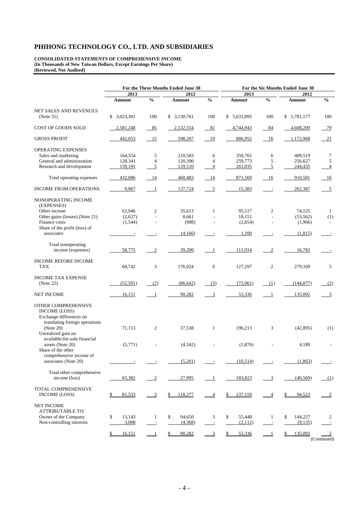**CONSOLIDATED STATEMENTS OF COMPREHENSIVE INCOME (In Thousands of New Taiwan Dollars, Except Earnings Per Share) (Reviewed, Not Audited)** 

|                                                                                                          |              |                          | For the Three Months Ended June 30 |                          | For the Six Months Ended June 30 |                          |               |                         |  |  |
|----------------------------------------------------------------------------------------------------------|--------------|--------------------------|------------------------------------|--------------------------|----------------------------------|--------------------------|---------------|-------------------------|--|--|
|                                                                                                          | 2013         |                          | 2012                               |                          | 2013                             |                          | 2012          |                         |  |  |
|                                                                                                          | Amount       | $\frac{0}{6}$            | Amount                             | $\frac{0}{0}$            | Amount                           | $\frac{0}{0}$            | Amount        | $\frac{0}{0}$           |  |  |
| NET SALES AND REVENUES                                                                                   |              |                          |                                    |                          |                                  |                          |               |                         |  |  |
| (Note 31)                                                                                                | \$3,023,301  | 100                      | \$3,130,761                        | 100                      | \$ 5,631,895                     | 100                      | \$5,781,177   | 100                     |  |  |
| COST OF GOODS SOLD                                                                                       | 2,581,248    | $-85$                    | 2,532,554                          | 81                       | 4,744,943                        | 84                       | 4,608,209     | 79                      |  |  |
| <b>GROSS PROFIT</b>                                                                                      | 442,053      | 15                       | 598,207                            | 19                       | 886,952                          | 16                       | 1,172,968     | 21                      |  |  |
| OPERATING EXPENSES                                                                                       |              |                          |                                    |                          |                                  |                          |               |                         |  |  |
| Sales and marketing                                                                                      | 164,554      | 5                        | 210,583                            | 6                        | 350,761                          | 6                        | 409,519       | 7                       |  |  |
| General and administration                                                                               | 128,341      | $\overline{4}$           | 120,390                            | 4                        | 259,773                          | 5                        | 256,627       | 5                       |  |  |
| Research and development                                                                                 | 139,191      | 5                        | 129,510                            | 4                        | 261,035                          | $\overline{5}$           | 244,435       | $\overline{4}$          |  |  |
| Total operating expenses                                                                                 | 432,086      | - 14                     | 460,483                            | 14                       | 871,569                          | - 16                     | 910,581       | 16                      |  |  |
| <b>INCOME FROM OPERATIONS</b>                                                                            | 9,967        | $\blacksquare$           | 137,724                            | $\overline{5}$           | 15,383                           | $\sim$                   | 262,387       | $\overline{5}$          |  |  |
| NONOPERATING INCOME<br>(EXPENSES)                                                                        |              |                          |                                    |                          |                                  |                          |               |                         |  |  |
| Other income                                                                                             | 62,946       | $\mathfrak{2}$           | 35,613                             | $\mathbf{1}$             | 95,517                           | $\mathfrak{2}$           | 74,125        | $\mathbf{1}$            |  |  |
| Other gains (losses) (Note 21)                                                                           | (2,627)      | $\overline{a}$           | 8,661                              |                          | 18,151                           | $\overline{\phantom{a}}$ | (53, 562)     | (1)                     |  |  |
| Finance costs                                                                                            | (1, 544)     |                          | (908)                              |                          | (2,854)                          |                          | (1,966)       | $\sim$                  |  |  |
| Share of the profit (loss) of                                                                            |              |                          |                                    |                          |                                  |                          |               |                         |  |  |
| associates                                                                                               |              |                          | (4,166)                            |                          | 1,100                            |                          | (1,815)       |                         |  |  |
| Total nonoperating                                                                                       |              |                          |                                    |                          |                                  |                          |               |                         |  |  |
| income (expenses)                                                                                        | 58,775       | $\boldsymbol{2}$         | 39,200                             | $\mathbf{1}$             | 111,914                          | $\overline{2}$           | 16,782        |                         |  |  |
|                                                                                                          |              |                          |                                    |                          |                                  |                          |               |                         |  |  |
| INCOME BEFORE INCOME                                                                                     |              |                          |                                    |                          |                                  |                          |               |                         |  |  |
| TAX                                                                                                      | 68,742       | 3                        | 176,924                            | 6                        | 127,297                          | 2                        | 279,169       | 5                       |  |  |
| <b>INCOME TAX EXPENSE</b>                                                                                |              |                          |                                    |                          |                                  |                          |               |                         |  |  |
| (Note 22)                                                                                                | (52, 591)    | (2)                      | (86, 642)                          | (3)                      | (73,961)                         | (1)                      | (144, 077)    | (2)                     |  |  |
|                                                                                                          |              |                          |                                    |                          |                                  |                          |               |                         |  |  |
| <b>NET INCOME</b>                                                                                        | 16,151       | - 1                      | 90,282                             | $\overline{3}$           | 53,336                           | $\blacksquare$           | 135,092       | $\overline{\mathbf{3}}$ |  |  |
| OTHER COMPREHENSIVE<br><b>INCOME (LOSS)</b><br>Exchange differences on<br>translating foreign operations |              |                          |                                    |                          |                                  |                          |               |                         |  |  |
| (Note 20)<br>Unrealized gain on                                                                          | 71,153       | $\overline{c}$           | 37,538                             | $\mathbf{1}$             | 196,213                          | 3                        | (42, 895)     | (1)                     |  |  |
| available-for-sale financial<br>assets (Note 20)<br>Share of the other                                   | (5,771)      |                          | (4,342)                            |                          | (1,876)                          |                          | 4,189         |                         |  |  |
| comprehensive income of                                                                                  |              |                          |                                    |                          |                                  |                          |               |                         |  |  |
| associates (Note 20)                                                                                     |              |                          | (5,201)                            |                          | (10,514)                         |                          | (1, 863)      |                         |  |  |
| Total other comprehensive                                                                                |              |                          |                                    |                          |                                  |                          |               |                         |  |  |
| income (loss)                                                                                            | 65,382       | $\overline{2}$           | 27,995                             | $\overline{1}$           | 183,823                          | $\overline{3}$           | (40, 569)     | (1)                     |  |  |
|                                                                                                          |              |                          |                                    |                          |                                  |                          |               |                         |  |  |
| TOTAL COMPREHENSIVE<br><b>INCOME (LOSS)</b>                                                              | 81,533<br>\$ | $\frac{3}{2}$            | 118,277<br>\$                      | $\overline{4}$           | \$<br>237,159                    | $\overline{\phantom{0}}$ | 94,523<br>\$  | $\frac{2}{2}$           |  |  |
|                                                                                                          |              |                          |                                    |                          |                                  |                          |               |                         |  |  |
| NET INCOME                                                                                               |              |                          |                                    |                          |                                  |                          |               |                         |  |  |
| ATTRIBUTABLE TO:                                                                                         |              |                          |                                    |                          |                                  |                          |               |                         |  |  |
| Owner of the Company                                                                                     | \$<br>13,143 | $\mathbf{1}$             | 94,650<br>\$                       | 3                        | \$<br>55,448                     | -1                       | 144,227<br>\$ | 2                       |  |  |
| Non-controlling interests                                                                                | 3,008        | $\overline{\phantom{a}}$ | (4,368)                            | $\overline{\phantom{a}}$ | (2,112)                          | $\overline{\phantom{a}}$ | (9,135)       |                         |  |  |
|                                                                                                          | 16,151<br>\$ |                          | 90,282<br>\$                       | $\overline{3}$           | 53,336                           | $\perp$                  | 135,092       |                         |  |  |
|                                                                                                          |              |                          |                                    |                          |                                  |                          |               | (Continued)             |  |  |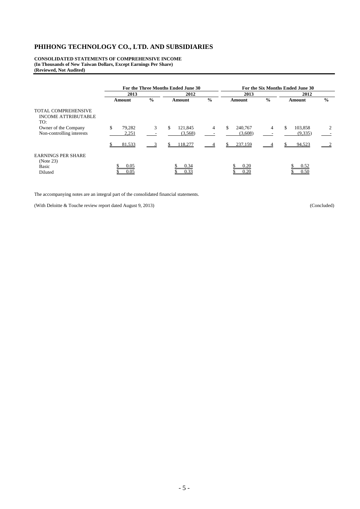**CONSOLIDATED STATEMENTS OF COMPREHENSIVE INCOME (In Thousands of New Taiwan Dollars, Except Earnings Per Share) (Reviewed, Not Audited)** 

|                                                                 |                       |               | For the Three Months Ended June 30 |                | For the Six Months Ended June 30 |               |                          |                |  |  |
|-----------------------------------------------------------------|-----------------------|---------------|------------------------------------|----------------|----------------------------------|---------------|--------------------------|----------------|--|--|
|                                                                 | 2013                  |               | 2012                               |                | 2013                             |               | 2012                     |                |  |  |
|                                                                 | Amount                | $\frac{0}{0}$ | Amount                             | $\frac{0}{0}$  | Amount                           | $\frac{6}{9}$ | Amount                   | $\frac{0}{0}$  |  |  |
| <b>TOTAL COMPREHENSIVE</b><br><b>INCOME ATTRIBUTABLE</b><br>TO: |                       |               |                                    |                |                                  |               |                          |                |  |  |
| Owner of the Company<br>Non-controlling interests               | \$<br>79,282<br>2,251 | 3             | \$<br>121,845<br>(3,568)           | $\overline{4}$ | \$.<br>240,767<br>(3,608)        | 4             | \$<br>103,858<br>(9,335) | $\overline{c}$ |  |  |
|                                                                 | 81,533                |               | 118,277                            |                | 237,159                          |               | 94,523                   |                |  |  |
| <b>EARNINGS PER SHARE</b><br>(Note 23)                          |                       |               |                                    |                |                                  |               |                          |                |  |  |
| <b>Basic</b><br>Diluted                                         | 0.05<br>0.05          |               | 0.34<br>0.33                       |                | 0.20<br>0.20                     |               | 0.52<br>0.50             |                |  |  |

The accompanying notes are an integral part of the consolidated financial statements.

(With Deloitte & Touche review report dated August 9, 2013) (Concluded)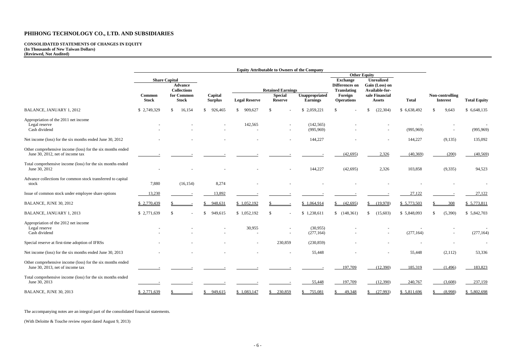#### **CONSOLIDATED STATEMENTS OF CHANGES IN EQUITY (In Thousands of New Taiwan Dollars) (Reviewed, Not Audited)**

|                                                                                                |                        |                                                  |                           |                      | <b>Equity Attributable to Owners of the Company</b>          |                                   |                                                                          |                                                   |              |                                    |                     |
|------------------------------------------------------------------------------------------------|------------------------|--------------------------------------------------|---------------------------|----------------------|--------------------------------------------------------------|-----------------------------------|--------------------------------------------------------------------------|---------------------------------------------------|--------------|------------------------------------|---------------------|
|                                                                                                |                        |                                                  |                           | <b>Other Equity</b>  |                                                              |                                   |                                                                          |                                                   |              |                                    |                     |
|                                                                                                |                        | <b>Share Capital</b><br><b>Advance</b>           |                           |                      |                                                              |                                   | <b>Exchange</b><br><b>Unrealized</b><br>Gain (Loss) on<br>Differences on |                                                   |              |                                    |                     |
|                                                                                                | Common<br><b>Stock</b> | <b>Collections</b><br>for Common<br><b>Stock</b> | Capital<br><b>Surplus</b> | <b>Legal Reserve</b> | <b>Retained Earnings</b><br><b>Special</b><br><b>Reserve</b> | Unappropriated<br><b>Earnings</b> | Translating<br>Foreign<br><b>Operations</b>                              | Available-for-<br>sale Financial<br><b>Assets</b> | <b>Total</b> | Non-controlling<br><b>Interest</b> | <b>Total Equity</b> |
| BALANCE, JANUARY 1, 2012                                                                       | \$2,749,329            | S<br>16,154                                      | $\mathbb{S}$<br>926,465   | \$909,627            | -\$                                                          | \$2,059,221                       | £.                                                                       | (22, 304)<br>£.                                   | \$ 6,638,492 | 9,643<br>\$                        | \$ 6,648,135        |
| Appropriation of the 2011 net income<br>Legal reserve<br>Cash dividend                         |                        |                                                  |                           | 142,565              |                                                              | (142, 565)<br>(995, 969)          |                                                                          |                                                   | (995, 969)   |                                    | (995, 969)          |
| Net income (loss) for the six months ended June 30, 2012                                       |                        |                                                  |                           |                      |                                                              | 144,227                           |                                                                          |                                                   | 144,227      | (9,135)                            | 135,092             |
| Other comprehensive income (loss) for the six months ended<br>June 30, 2012, net of income tax |                        |                                                  |                           |                      |                                                              |                                   | (42, 695)                                                                | 2,326                                             | (40, 369)    | (200)                              | (40, 569)           |
| Total comprehensive income (loss) for the six months ended<br>June 30, 2012                    |                        |                                                  |                           |                      |                                                              | 144,227                           | (42, 695)                                                                | 2,326                                             | 103,858      | (9, 335)                           | 94,523              |
| Advance collections for common stock transferred to capital<br>stock                           | 7,880                  | (16, 154)                                        | 8,274                     |                      |                                                              |                                   |                                                                          |                                                   |              |                                    |                     |
| Issue of common stock under employee share options                                             | 13,230                 |                                                  | 13,892                    |                      |                                                              |                                   |                                                                          |                                                   | 27,122       |                                    | 27,122              |
| BALANCE, JUNE 30, 2012                                                                         | \$2,770,439            |                                                  | 948,631                   | \$1,052,192          |                                                              | \$1,064,914                       | (42,695)                                                                 | (19,978)                                          | \$5,773,503  | 308                                | \$5,773,811         |
| BALANCE, JANUARY 1, 2013                                                                       | \$2,771,639            | -S                                               | \$<br>949,615             | \$1,052,192          | -\$                                                          | \$1,238,611                       | \$(148,361)                                                              | (15,603)<br>\$                                    | \$5,848,093  | (5,390)                            | \$5,842,703         |
| Appropriation of the 2012 net income<br>Legal reserve<br>Cash dividend                         |                        |                                                  |                           | 30,955               |                                                              | (30,955)<br>(277, 164)            |                                                                          |                                                   | (277, 164)   |                                    | (277, 164)          |
| Special reserve at first-time adoption of IFRSs                                                |                        |                                                  |                           |                      | 230,859                                                      | (230, 859)                        |                                                                          |                                                   |              |                                    |                     |
| Net income (loss) for the six months ended June 30, 2013                                       |                        |                                                  |                           |                      |                                                              | 55,448                            |                                                                          |                                                   | 55,448       | (2,112)                            | 53,336              |
| Other comprehensive income (loss) for the six months ended<br>June 30, 2013, net of income tax |                        |                                                  |                           |                      |                                                              |                                   | 197,709                                                                  | (12,390)                                          | 185,319      | (1, 496)                           | 183,823             |
| Total comprehensive income (loss) for the six months ended<br>June 30, 2013                    |                        |                                                  |                           |                      |                                                              | 55,448                            | 197,709                                                                  | (12,390)                                          | 240,767      | (3,608)                            | 237,159             |
| BALANCE, JUNE 30, 2013                                                                         | \$2.771,639            |                                                  | 949,615<br>£.             | \$1.083.147          | 230,859                                                      | 755.081                           | 49.348                                                                   | (27.993)                                          | \$5,811,696  | (8.998)                            | \$5.802,698         |

The accompanying notes are an integral part of the consolidated financial statements.

(With Deloitte & Touche review report dated August 9, 2013)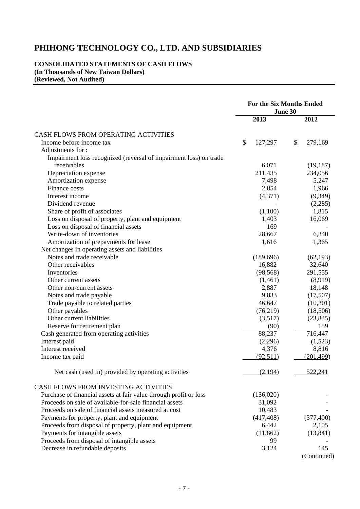#### **CONSOLIDATED STATEMENTS OF CASH FLOWS (In Thousands of New Taiwan Dollars) (Reviewed, Not Audited)**

| 2013<br>2012<br>CASH FLOWS FROM OPERATING ACTIVITIES<br>\$<br>127,297<br>Income before income tax<br>\$<br>279,169<br>Adjustments for:<br>Impairment loss recognized (reversal of impairment loss) on trade<br>receivables<br>6,071<br>(19, 187)<br>211,435<br>Depreciation expense<br>234,056<br>Amortization expense<br>7,498<br>5,247<br>Finance costs<br>2,854<br>1,966<br>Interest income<br>(4,371)<br>(9,349)<br>Dividend revenue<br>(2,285)<br>Share of profit of associates<br>(1,100)<br>1,815<br>Loss on disposal of property, plant and equipment<br>16,069<br>1,403<br>Loss on disposal of financial assets<br>169<br>Write-down of inventories<br>28,667<br>6,340<br>Amortization of prepayments for lease<br>1,616<br>1,365<br>Net changes in operating assets and liabilities<br>Notes and trade receivable<br>(189, 696)<br>(62, 193)<br>Other receivables<br>16,882<br>32,640<br>291,555<br>Inventories<br>(98, 568)<br>Other current assets<br>(1,461)<br>(8,919)<br>18,148<br>2,887<br>Other non-current assets<br>9,833<br>(17,507)<br>Notes and trade payable<br>Trade payable to related parties<br>46,647<br>(10, 301)<br>Other payables<br>(76, 219)<br>(18,506)<br>Other current liabilities<br>(3,517)<br>(23, 835)<br>Reserve for retirement plan<br>(90)<br>159<br>88,237<br>Cash generated from operating activities<br>716,447<br>Interest paid<br>(2,296)<br>(1,523)<br>Interest received<br>4,376<br>8,816<br>(92, 511)<br>(201, 499)<br>Income tax paid<br>(2,194)<br>522,241<br>Net cash (used in) provided by operating activities<br>CASH FLOWS FROM INVESTING ACTIVITIES<br>Purchase of financial assets at fair value through profit or loss<br>(136,020)<br>Proceeds on sale of available-for-sale financial assets<br>31,092<br>Proceeds on sale of financial assets measured at cost<br>10,483<br>Payments for property, plant and equipment<br>(417, 408)<br>(377, 400)<br>Proceeds from disposal of property, plant and equipment<br>6,442<br>2,105<br>Payments for intangible assets<br>(11, 862)<br>(13, 841)<br>Proceeds from disposal of intangible assets<br>99<br>Decrease in refundable deposits<br>3,124<br>145 | <b>For the Six Months Ended</b><br>June 30 |  |  |  |  |
|---------------------------------------------------------------------------------------------------------------------------------------------------------------------------------------------------------------------------------------------------------------------------------------------------------------------------------------------------------------------------------------------------------------------------------------------------------------------------------------------------------------------------------------------------------------------------------------------------------------------------------------------------------------------------------------------------------------------------------------------------------------------------------------------------------------------------------------------------------------------------------------------------------------------------------------------------------------------------------------------------------------------------------------------------------------------------------------------------------------------------------------------------------------------------------------------------------------------------------------------------------------------------------------------------------------------------------------------------------------------------------------------------------------------------------------------------------------------------------------------------------------------------------------------------------------------------------------------------------------------------------------------------------------------------------------------------------------------------------------------------------------------------------------------------------------------------------------------------------------------------------------------------------------------------------------------------------------------------------------------------------------------------------------------------------------------------------------------------------------------------------------------------------------------|--------------------------------------------|--|--|--|--|
|                                                                                                                                                                                                                                                                                                                                                                                                                                                                                                                                                                                                                                                                                                                                                                                                                                                                                                                                                                                                                                                                                                                                                                                                                                                                                                                                                                                                                                                                                                                                                                                                                                                                                                                                                                                                                                                                                                                                                                                                                                                                                                                                                                     |                                            |  |  |  |  |
|                                                                                                                                                                                                                                                                                                                                                                                                                                                                                                                                                                                                                                                                                                                                                                                                                                                                                                                                                                                                                                                                                                                                                                                                                                                                                                                                                                                                                                                                                                                                                                                                                                                                                                                                                                                                                                                                                                                                                                                                                                                                                                                                                                     |                                            |  |  |  |  |
|                                                                                                                                                                                                                                                                                                                                                                                                                                                                                                                                                                                                                                                                                                                                                                                                                                                                                                                                                                                                                                                                                                                                                                                                                                                                                                                                                                                                                                                                                                                                                                                                                                                                                                                                                                                                                                                                                                                                                                                                                                                                                                                                                                     |                                            |  |  |  |  |
|                                                                                                                                                                                                                                                                                                                                                                                                                                                                                                                                                                                                                                                                                                                                                                                                                                                                                                                                                                                                                                                                                                                                                                                                                                                                                                                                                                                                                                                                                                                                                                                                                                                                                                                                                                                                                                                                                                                                                                                                                                                                                                                                                                     |                                            |  |  |  |  |
|                                                                                                                                                                                                                                                                                                                                                                                                                                                                                                                                                                                                                                                                                                                                                                                                                                                                                                                                                                                                                                                                                                                                                                                                                                                                                                                                                                                                                                                                                                                                                                                                                                                                                                                                                                                                                                                                                                                                                                                                                                                                                                                                                                     |                                            |  |  |  |  |
|                                                                                                                                                                                                                                                                                                                                                                                                                                                                                                                                                                                                                                                                                                                                                                                                                                                                                                                                                                                                                                                                                                                                                                                                                                                                                                                                                                                                                                                                                                                                                                                                                                                                                                                                                                                                                                                                                                                                                                                                                                                                                                                                                                     |                                            |  |  |  |  |
|                                                                                                                                                                                                                                                                                                                                                                                                                                                                                                                                                                                                                                                                                                                                                                                                                                                                                                                                                                                                                                                                                                                                                                                                                                                                                                                                                                                                                                                                                                                                                                                                                                                                                                                                                                                                                                                                                                                                                                                                                                                                                                                                                                     |                                            |  |  |  |  |
|                                                                                                                                                                                                                                                                                                                                                                                                                                                                                                                                                                                                                                                                                                                                                                                                                                                                                                                                                                                                                                                                                                                                                                                                                                                                                                                                                                                                                                                                                                                                                                                                                                                                                                                                                                                                                                                                                                                                                                                                                                                                                                                                                                     |                                            |  |  |  |  |
|                                                                                                                                                                                                                                                                                                                                                                                                                                                                                                                                                                                                                                                                                                                                                                                                                                                                                                                                                                                                                                                                                                                                                                                                                                                                                                                                                                                                                                                                                                                                                                                                                                                                                                                                                                                                                                                                                                                                                                                                                                                                                                                                                                     |                                            |  |  |  |  |
|                                                                                                                                                                                                                                                                                                                                                                                                                                                                                                                                                                                                                                                                                                                                                                                                                                                                                                                                                                                                                                                                                                                                                                                                                                                                                                                                                                                                                                                                                                                                                                                                                                                                                                                                                                                                                                                                                                                                                                                                                                                                                                                                                                     |                                            |  |  |  |  |
|                                                                                                                                                                                                                                                                                                                                                                                                                                                                                                                                                                                                                                                                                                                                                                                                                                                                                                                                                                                                                                                                                                                                                                                                                                                                                                                                                                                                                                                                                                                                                                                                                                                                                                                                                                                                                                                                                                                                                                                                                                                                                                                                                                     |                                            |  |  |  |  |
|                                                                                                                                                                                                                                                                                                                                                                                                                                                                                                                                                                                                                                                                                                                                                                                                                                                                                                                                                                                                                                                                                                                                                                                                                                                                                                                                                                                                                                                                                                                                                                                                                                                                                                                                                                                                                                                                                                                                                                                                                                                                                                                                                                     |                                            |  |  |  |  |
|                                                                                                                                                                                                                                                                                                                                                                                                                                                                                                                                                                                                                                                                                                                                                                                                                                                                                                                                                                                                                                                                                                                                                                                                                                                                                                                                                                                                                                                                                                                                                                                                                                                                                                                                                                                                                                                                                                                                                                                                                                                                                                                                                                     |                                            |  |  |  |  |
|                                                                                                                                                                                                                                                                                                                                                                                                                                                                                                                                                                                                                                                                                                                                                                                                                                                                                                                                                                                                                                                                                                                                                                                                                                                                                                                                                                                                                                                                                                                                                                                                                                                                                                                                                                                                                                                                                                                                                                                                                                                                                                                                                                     |                                            |  |  |  |  |
|                                                                                                                                                                                                                                                                                                                                                                                                                                                                                                                                                                                                                                                                                                                                                                                                                                                                                                                                                                                                                                                                                                                                                                                                                                                                                                                                                                                                                                                                                                                                                                                                                                                                                                                                                                                                                                                                                                                                                                                                                                                                                                                                                                     |                                            |  |  |  |  |
|                                                                                                                                                                                                                                                                                                                                                                                                                                                                                                                                                                                                                                                                                                                                                                                                                                                                                                                                                                                                                                                                                                                                                                                                                                                                                                                                                                                                                                                                                                                                                                                                                                                                                                                                                                                                                                                                                                                                                                                                                                                                                                                                                                     |                                            |  |  |  |  |
|                                                                                                                                                                                                                                                                                                                                                                                                                                                                                                                                                                                                                                                                                                                                                                                                                                                                                                                                                                                                                                                                                                                                                                                                                                                                                                                                                                                                                                                                                                                                                                                                                                                                                                                                                                                                                                                                                                                                                                                                                                                                                                                                                                     |                                            |  |  |  |  |
|                                                                                                                                                                                                                                                                                                                                                                                                                                                                                                                                                                                                                                                                                                                                                                                                                                                                                                                                                                                                                                                                                                                                                                                                                                                                                                                                                                                                                                                                                                                                                                                                                                                                                                                                                                                                                                                                                                                                                                                                                                                                                                                                                                     |                                            |  |  |  |  |
|                                                                                                                                                                                                                                                                                                                                                                                                                                                                                                                                                                                                                                                                                                                                                                                                                                                                                                                                                                                                                                                                                                                                                                                                                                                                                                                                                                                                                                                                                                                                                                                                                                                                                                                                                                                                                                                                                                                                                                                                                                                                                                                                                                     |                                            |  |  |  |  |
|                                                                                                                                                                                                                                                                                                                                                                                                                                                                                                                                                                                                                                                                                                                                                                                                                                                                                                                                                                                                                                                                                                                                                                                                                                                                                                                                                                                                                                                                                                                                                                                                                                                                                                                                                                                                                                                                                                                                                                                                                                                                                                                                                                     |                                            |  |  |  |  |
|                                                                                                                                                                                                                                                                                                                                                                                                                                                                                                                                                                                                                                                                                                                                                                                                                                                                                                                                                                                                                                                                                                                                                                                                                                                                                                                                                                                                                                                                                                                                                                                                                                                                                                                                                                                                                                                                                                                                                                                                                                                                                                                                                                     |                                            |  |  |  |  |
|                                                                                                                                                                                                                                                                                                                                                                                                                                                                                                                                                                                                                                                                                                                                                                                                                                                                                                                                                                                                                                                                                                                                                                                                                                                                                                                                                                                                                                                                                                                                                                                                                                                                                                                                                                                                                                                                                                                                                                                                                                                                                                                                                                     |                                            |  |  |  |  |
|                                                                                                                                                                                                                                                                                                                                                                                                                                                                                                                                                                                                                                                                                                                                                                                                                                                                                                                                                                                                                                                                                                                                                                                                                                                                                                                                                                                                                                                                                                                                                                                                                                                                                                                                                                                                                                                                                                                                                                                                                                                                                                                                                                     |                                            |  |  |  |  |
|                                                                                                                                                                                                                                                                                                                                                                                                                                                                                                                                                                                                                                                                                                                                                                                                                                                                                                                                                                                                                                                                                                                                                                                                                                                                                                                                                                                                                                                                                                                                                                                                                                                                                                                                                                                                                                                                                                                                                                                                                                                                                                                                                                     |                                            |  |  |  |  |
|                                                                                                                                                                                                                                                                                                                                                                                                                                                                                                                                                                                                                                                                                                                                                                                                                                                                                                                                                                                                                                                                                                                                                                                                                                                                                                                                                                                                                                                                                                                                                                                                                                                                                                                                                                                                                                                                                                                                                                                                                                                                                                                                                                     |                                            |  |  |  |  |
|                                                                                                                                                                                                                                                                                                                                                                                                                                                                                                                                                                                                                                                                                                                                                                                                                                                                                                                                                                                                                                                                                                                                                                                                                                                                                                                                                                                                                                                                                                                                                                                                                                                                                                                                                                                                                                                                                                                                                                                                                                                                                                                                                                     |                                            |  |  |  |  |
|                                                                                                                                                                                                                                                                                                                                                                                                                                                                                                                                                                                                                                                                                                                                                                                                                                                                                                                                                                                                                                                                                                                                                                                                                                                                                                                                                                                                                                                                                                                                                                                                                                                                                                                                                                                                                                                                                                                                                                                                                                                                                                                                                                     |                                            |  |  |  |  |
|                                                                                                                                                                                                                                                                                                                                                                                                                                                                                                                                                                                                                                                                                                                                                                                                                                                                                                                                                                                                                                                                                                                                                                                                                                                                                                                                                                                                                                                                                                                                                                                                                                                                                                                                                                                                                                                                                                                                                                                                                                                                                                                                                                     |                                            |  |  |  |  |
|                                                                                                                                                                                                                                                                                                                                                                                                                                                                                                                                                                                                                                                                                                                                                                                                                                                                                                                                                                                                                                                                                                                                                                                                                                                                                                                                                                                                                                                                                                                                                                                                                                                                                                                                                                                                                                                                                                                                                                                                                                                                                                                                                                     |                                            |  |  |  |  |
|                                                                                                                                                                                                                                                                                                                                                                                                                                                                                                                                                                                                                                                                                                                                                                                                                                                                                                                                                                                                                                                                                                                                                                                                                                                                                                                                                                                                                                                                                                                                                                                                                                                                                                                                                                                                                                                                                                                                                                                                                                                                                                                                                                     |                                            |  |  |  |  |
|                                                                                                                                                                                                                                                                                                                                                                                                                                                                                                                                                                                                                                                                                                                                                                                                                                                                                                                                                                                                                                                                                                                                                                                                                                                                                                                                                                                                                                                                                                                                                                                                                                                                                                                                                                                                                                                                                                                                                                                                                                                                                                                                                                     |                                            |  |  |  |  |
|                                                                                                                                                                                                                                                                                                                                                                                                                                                                                                                                                                                                                                                                                                                                                                                                                                                                                                                                                                                                                                                                                                                                                                                                                                                                                                                                                                                                                                                                                                                                                                                                                                                                                                                                                                                                                                                                                                                                                                                                                                                                                                                                                                     |                                            |  |  |  |  |
|                                                                                                                                                                                                                                                                                                                                                                                                                                                                                                                                                                                                                                                                                                                                                                                                                                                                                                                                                                                                                                                                                                                                                                                                                                                                                                                                                                                                                                                                                                                                                                                                                                                                                                                                                                                                                                                                                                                                                                                                                                                                                                                                                                     |                                            |  |  |  |  |
|                                                                                                                                                                                                                                                                                                                                                                                                                                                                                                                                                                                                                                                                                                                                                                                                                                                                                                                                                                                                                                                                                                                                                                                                                                                                                                                                                                                                                                                                                                                                                                                                                                                                                                                                                                                                                                                                                                                                                                                                                                                                                                                                                                     |                                            |  |  |  |  |
|                                                                                                                                                                                                                                                                                                                                                                                                                                                                                                                                                                                                                                                                                                                                                                                                                                                                                                                                                                                                                                                                                                                                                                                                                                                                                                                                                                                                                                                                                                                                                                                                                                                                                                                                                                                                                                                                                                                                                                                                                                                                                                                                                                     |                                            |  |  |  |  |
|                                                                                                                                                                                                                                                                                                                                                                                                                                                                                                                                                                                                                                                                                                                                                                                                                                                                                                                                                                                                                                                                                                                                                                                                                                                                                                                                                                                                                                                                                                                                                                                                                                                                                                                                                                                                                                                                                                                                                                                                                                                                                                                                                                     |                                            |  |  |  |  |
|                                                                                                                                                                                                                                                                                                                                                                                                                                                                                                                                                                                                                                                                                                                                                                                                                                                                                                                                                                                                                                                                                                                                                                                                                                                                                                                                                                                                                                                                                                                                                                                                                                                                                                                                                                                                                                                                                                                                                                                                                                                                                                                                                                     |                                            |  |  |  |  |
|                                                                                                                                                                                                                                                                                                                                                                                                                                                                                                                                                                                                                                                                                                                                                                                                                                                                                                                                                                                                                                                                                                                                                                                                                                                                                                                                                                                                                                                                                                                                                                                                                                                                                                                                                                                                                                                                                                                                                                                                                                                                                                                                                                     |                                            |  |  |  |  |
|                                                                                                                                                                                                                                                                                                                                                                                                                                                                                                                                                                                                                                                                                                                                                                                                                                                                                                                                                                                                                                                                                                                                                                                                                                                                                                                                                                                                                                                                                                                                                                                                                                                                                                                                                                                                                                                                                                                                                                                                                                                                                                                                                                     |                                            |  |  |  |  |
|                                                                                                                                                                                                                                                                                                                                                                                                                                                                                                                                                                                                                                                                                                                                                                                                                                                                                                                                                                                                                                                                                                                                                                                                                                                                                                                                                                                                                                                                                                                                                                                                                                                                                                                                                                                                                                                                                                                                                                                                                                                                                                                                                                     |                                            |  |  |  |  |
|                                                                                                                                                                                                                                                                                                                                                                                                                                                                                                                                                                                                                                                                                                                                                                                                                                                                                                                                                                                                                                                                                                                                                                                                                                                                                                                                                                                                                                                                                                                                                                                                                                                                                                                                                                                                                                                                                                                                                                                                                                                                                                                                                                     |                                            |  |  |  |  |
|                                                                                                                                                                                                                                                                                                                                                                                                                                                                                                                                                                                                                                                                                                                                                                                                                                                                                                                                                                                                                                                                                                                                                                                                                                                                                                                                                                                                                                                                                                                                                                                                                                                                                                                                                                                                                                                                                                                                                                                                                                                                                                                                                                     |                                            |  |  |  |  |

(Continued)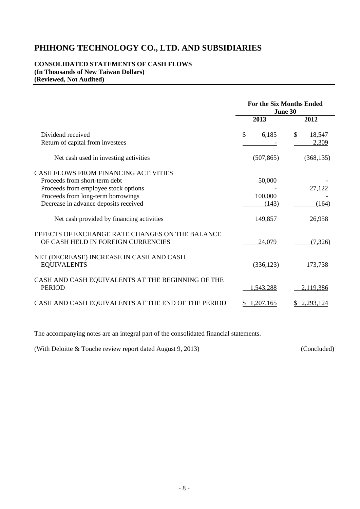#### **CONSOLIDATED STATEMENTS OF CASH FLOWS (In Thousands of New Taiwan Dollars) (Reviewed, Not Audited)**

|                                                                                                                                                                                              |                            | <b>For the Six Months Ended</b><br>June 30 |
|----------------------------------------------------------------------------------------------------------------------------------------------------------------------------------------------|----------------------------|--------------------------------------------|
|                                                                                                                                                                                              | 2013                       | 2012                                       |
| Dividend received<br>Return of capital from investees                                                                                                                                        | \$<br>6,185                | \$<br>18,547<br>2,309                      |
| Net cash used in investing activities                                                                                                                                                        | (507, 865)                 | (368, 135)                                 |
| CASH FLOWS FROM FINANCING ACTIVITIES<br>Proceeds from short-term debt<br>Proceeds from employee stock options<br>Proceeds from long-term borrowings<br>Decrease in advance deposits received | 50,000<br>100,000<br>(143) | 27,122<br>(164)                            |
| Net cash provided by financing activities<br>EFFECTS OF EXCHANGE RATE CHANGES ON THE BALANCE<br>OF CASH HELD IN FOREIGN CURRENCIES                                                           | 149,857<br>24,079          | 26,958<br>(7,326)                          |
| NET (DECREASE) INCREASE IN CASH AND CASH<br><b>EQUIVALENTS</b>                                                                                                                               | (336, 123)                 | 173,738                                    |
| CASH AND CASH EQUIVALENTS AT THE BEGINNING OF THE<br><b>PERIOD</b>                                                                                                                           | 1,543,288                  | 2,119,386                                  |
| CASH AND CASH EQUIVALENTS AT THE END OF THE PERIOD                                                                                                                                           | \$1,207,165                | \$2,293,124                                |

The accompanying notes are an integral part of the consolidated financial statements.

(With Deloitte & Touche review report dated August 9, 2013) (Concluded)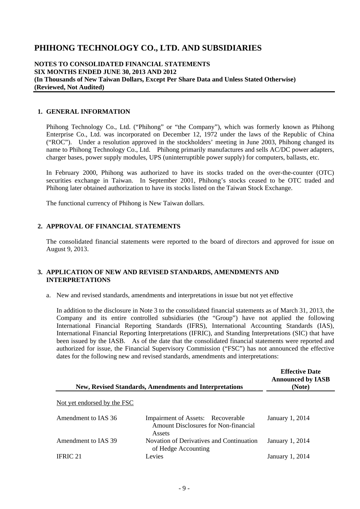#### **NOTES TO CONSOLIDATED FINANCIAL STATEMENTS SIX MONTHS ENDED JUNE 30, 2013 AND 2012 (In Thousands of New Taiwan Dollars, Except Per Share Data and Unless Stated Otherwise) (Reviewed, Not Audited)**

#### **1. GENERAL INFORMATION**

Phihong Technology Co., Ltd. ("Phihong" or "the Company"), which was formerly known as Phihong Enterprise Co., Ltd. was incorporated on December 12, 1972 under the laws of the Republic of China ("ROC"). Under a resolution approved in the stockholders' meeting in June 2003, Phihong changed its name to Phihong Technology Co., Ltd. Phihong primarily manufactures and sells AC/DC power adapters, charger bases, power supply modules, UPS (uninterruptible power supply) for computers, ballasts, etc.

In February 2000, Phihong was authorized to have its stocks traded on the over-the-counter (OTC) securities exchange in Taiwan. In September 2001, Phihong's stocks ceased to be OTC traded and Phihong later obtained authorization to have its stocks listed on the Taiwan Stock Exchange.

The functional currency of Phihong is New Taiwan dollars.

#### **2. APPROVAL OF FINANCIAL STATEMENTS**

The consolidated financial statements were reported to the board of directors and approved for issue on August 9, 2013.

#### **3. APPLICATION OF NEW AND REVISED STANDARDS, AMENDMENTS AND INTERPRETATIONS**

a. New and revised standards, amendments and interpretations in issue but not yet effective

In addition to the disclosure in Note 3 to the consolidated financial statements as of March 31, 2013, the Company and its entire controlled subsidiaries (the "Group") have not applied the following International Financial Reporting Standards (IFRS), International Accounting Standards (IAS), International Financial Reporting Interpretations (IFRIC), and Standing Interpretations (SIC) that have been issued by the IASB. As of the date that the consolidated financial statements were reported and authorized for issue, the Financial Supervisory Commission ("FSC") has not announced the effective dates for the following new and revised standards, amendments and interpretations:

|                             | <b>New, Revised Standards, Amendments and Interpretations</b>                              | <b>Effective Date</b><br><b>Announced by IASB</b><br>(Note) |
|-----------------------------|--------------------------------------------------------------------------------------------|-------------------------------------------------------------|
| Not yet endorsed by the FSC |                                                                                            |                                                             |
| Amendment to IAS 36         | Impairment of Assets: Recoverable<br><b>Amount Disclosures for Non-financial</b><br>Assets | January 1, 2014                                             |
| Amendment to IAS 39         | Novation of Derivatives and Continuation<br>of Hedge Accounting                            | January 1, 2014                                             |
| IFRIC 21                    | Levies                                                                                     | January 1, 2014                                             |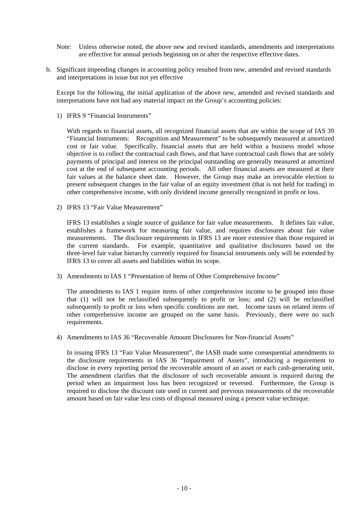- Note: Unless otherwise noted, the above new and revised standards, amendments and interpretations are effective for annual periods beginning on or after the respective effective dates.
- b. Significant impending changes in accounting policy resulted from new, amended and revised standards and interpretations in issue but not yet effective

Except for the following, the initial application of the above new, amended and revised standards and interpretations have not had any material impact on the Group's accounting policies:

1) IFRS 9 "Financial Instruments"

With regards to financial assets, all recognized financial assets that are within the scope of IAS 39 "Financial Instruments: Recognition and Measurement" to be subsequently measured at amortized cost or fair value. Specifically, financial assets that are held within a business model whose objective is to collect the contractual cash flows, and that have contractual cash flows that are solely payments of principal and interest on the principal outstanding are generally measured at amortized cost at the end of subsequent accounting periods. All other financial assets are measured at their fair values at the balance sheet date. However, the Group may make an irrevocable election to present subsequent changes in the fair value of an equity investment (that is not held for trading) in other comprehensive income, with only dividend income generally recognized in profit or loss.

2) IFRS 13 "Fair Value Measurement"

IFRS 13 establishes a single source of guidance for fair value measurements. It defines fair value, establishes a framework for measuring fair value, and requires disclosures about fair value measurements. The disclosure requirements in IFRS 13 are more extensive than those required in the current standards. For example, quantitative and qualitative disclosures based on the three-level fair value hierarchy currently required for financial instruments only will be extended by IFRS 13 to cover all assets and liabilities within its scope.

3) Amendments to IAS 1 "Presentation of Items of Other Comprehensive Income"

The amendments to IAS 1 require items of other comprehensive income to be grouped into those that (1) will not be reclassified subsequently to profit or loss; and (2) will be reclassified subsequently to profit or loss when specific conditions are met. Income taxes on related items of other comprehensive income are grouped on the same basis. Previously, there were no such requirements.

4) Amendments to IAS 36 "Recoverable Amount Disclosures for Non-financial Assets"

In issuing IFRS 13 "Fair Value Measurement", the IASB made some consequential amendments to the disclosure requirements in IAS 36 "Impairment of Assets", introducing a requirement to disclose in every reporting period the recoverable amount of an asset or each cash-generating unit. The amendment clarifies that the disclosure of such recoverable amount is required during the period when an impairment loss has been recognized or reversed. Furthermore, the Group is required to disclose the discount rate used in current and previous measurements of the recoverable amount based on fair value less costs of disposal measured using a present value technique.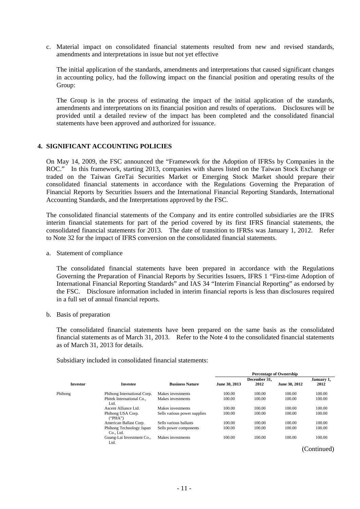c. Material impact on consolidated financial statements resulted from new and revised standards, amendments and interpretations in issue but not yet effective

The initial application of the standards, amendments and interpretations that caused significant changes in accounting policy, had the following impact on the financial position and operating results of the Group:

The Group is in the process of estimating the impact of the initial application of the standards, amendments and interpretations on its financial position and results of operations. Disclosures will be provided until a detailed review of the impact has been completed and the consolidated financial statements have been approved and authorized for issuance.

#### **4. SIGNIFICANT ACCOUNTING POLICIES**

On May 14, 2009, the FSC announced the "Framework for the Adoption of IFRSs by Companies in the ROC." In this framework, starting 2013, companies with shares listed on the Taiwan Stock Exchange or traded on the Taiwan GreTai Securities Market or Emerging Stock Market should prepare their consolidated financial statements in accordance with the Regulations Governing the Preparation of Financial Reports by Securities Issuers and the International Financial Reporting Standards, International Accounting Standards, and the Interpretations approved by the FSC.

The consolidated financial statements of the Company and its entire controlled subsidiaries are the IFRS interim financial statements for part of the period covered by its first IFRS financial statements, the consolidated financial statements for 2013. The date of transition to IFRSs was January 1, 2012. Refer to Note 32 for the impact of IFRS conversion on the consolidated financial statements.

a. Statement of compliance

The consolidated financial statements have been prepared in accordance with the Regulations Governing the Preparation of Financial Reports by Securities Issuers, IFRS 1 "First-time Adoption of International Financial Reporting Standards" and IAS 34 "Interim Financial Reporting" as endorsed by the FSC. Disclosure information included in interim financial reports is less than disclosures required in a full set of annual financial reports.

b. Basis of preparation

The consolidated financial statements have been prepared on the same basis as the consolidated financial statements as of March 31, 2013. Refer to the Note 4 to the consolidated financial statements as of March 31, 2013 for details.

Subsidiary included in consolidated financial statements:

|                 |                                       |                              |               | <b>Percentage of Ownership</b> |               |             |  |
|-----------------|---------------------------------------|------------------------------|---------------|--------------------------------|---------------|-------------|--|
|                 |                                       |                              |               | December 31.                   |               | January 1,  |  |
| <b>Investor</b> | <b>Investee</b>                       | <b>Business Nature</b>       | June 30, 2013 | 2012                           | June 30, 2012 | 2012        |  |
| Phihong         | Phihong International Corp.           | Makes investments            | 100.00        | 100.00                         | 100.00        | 100.00      |  |
|                 | Phitek International Co.,<br>Ltd.     | Makes investments            | 100.00        | 100.00                         | 100.00        | 100.00      |  |
|                 | Ascent Alliance Ltd.                  | Makes investments            | 100.00        | 100.00                         | 100.00        | 100.00      |  |
|                 | Phihong USA Corp.<br>$($ "PHA" $)$    | Sells various power supplies | 100.00        | 100.00                         | 100.00        | 100.00      |  |
|                 | American Ballast Corp.                | Sells various ballasts       | 100.00        | 100.00                         | 100.00        | 100.00      |  |
|                 | Phihong Technology Japan<br>Co., Ltd. | Sells power components       | 100.00        | 100.00                         | 100.00        | 100.00      |  |
|                 | Guang-Lai Investment Co.,<br>Ltd.     | Makes investments            | 100.00        | 100.00                         | 100.00        | 100.00      |  |
|                 |                                       |                              |               |                                |               | (Continued) |  |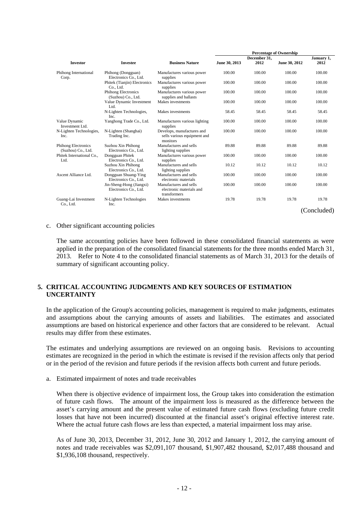|                                           |                                                   |                                                                       | <b>Percentage of Ownership</b> |              |               |             |  |  |  |
|-------------------------------------------|---------------------------------------------------|-----------------------------------------------------------------------|--------------------------------|--------------|---------------|-------------|--|--|--|
|                                           |                                                   |                                                                       |                                | December 31, |               | January 1,  |  |  |  |
| <b>Investor</b>                           | <b>Investee</b>                                   | <b>Business Nature</b>                                                | June 30, 2013                  | 2012         | June 30, 2012 | 2012        |  |  |  |
| Phihong International<br>Corp.            | Phihong (Dongguan)<br>Electronics Co., Ltd.       | Manufactures various power<br>supplies                                | 100.00                         | 100.00       | 100.00        | 100.00      |  |  |  |
|                                           | Phitek (Tianjin) Electronics<br>Co., Ltd.         | Manufactures various power<br>supplies                                | 100.00                         | 100.00       | 100.00        | 100.00      |  |  |  |
|                                           | <b>Phihong Electronics</b><br>(Suzhou) Co., Ltd.  | Manufactures various power<br>supplies and ballasts                   | 100.00                         | 100.00       | 100.00        | 100.00      |  |  |  |
|                                           | Value Dynamic Investment<br>Ltd.                  | Makes investments                                                     | 100.00                         | 100.00       | 100.00        | 100.00      |  |  |  |
|                                           | N-Lighten Technologies,<br>Inc.                   | Makes investments                                                     | 58.45                          | 58.45        | 58.45         | 58.45       |  |  |  |
| Value Dynamic<br>Investment Ltd.          | Yanghong Trade Co., Ltd.                          | Manufactures various lighting<br>supplies                             | 100.00                         | 100.00       | 100.00        | 100.00      |  |  |  |
| N-Lighten Technologies,<br>Inc.           | N-Lighten (Shanghai)<br>Trading Inc.              | Develops, manufactures and<br>sells various equipment and<br>monitors | 100.00                         | 100.00       | 100.00        | 100.00      |  |  |  |
| Phihong Electronics<br>(Suzhou) Co., Ltd. | Suzhou Xin Phihong<br>Electronics Co., Ltd.       | Manufactures and sells<br>lighting supplies                           | 89.88                          | 89.88        | 89.88         | 89.88       |  |  |  |
| Phitek International Co.,<br>Ltd.         | Dongguan Phitek<br>Electronics Co., Ltd.          | Manufactures various power<br>supplies                                | 100.00                         | 100.00       | 100.00        | 100.00      |  |  |  |
|                                           | Suzhou Xin Phihong<br>Electronics Co., Ltd.       | Manufactures and sells<br>lighting supplies                           | 10.12                          | 10.12        | 10.12         | 10.12       |  |  |  |
| Ascent Alliance Ltd.                      | Dongguan Shuang-Ying<br>Electronics Co., Ltd.     | Manufactures and sells<br>electronic materials                        | 100.00                         | 100.00       | 100.00        | 100.00      |  |  |  |
|                                           | Jin-Sheng-Hong (Jiangxi)<br>Electronics Co., Ltd. | Manufactures and sells<br>electronic materials and<br>transformers    | 100.00                         | 100.00       | 100.00        | 100.00      |  |  |  |
| Guang-Lai Investment<br>Co., Ltd.         | N-Lighten Technologies<br>Inc.                    | Makes investments                                                     | 19.78                          | 19.78        | 19.78         | 19.78       |  |  |  |
|                                           |                                                   |                                                                       |                                |              |               | (Concluded) |  |  |  |

#### c. Other significant accounting policies

The same accounting policies have been followed in these consolidated financial statements as were applied in the preparation of the consolidated financial statements for the three months ended March 31, 2013. Refer to Note 4 to the consolidated financial statements as of March 31, 2013 for the details of summary of significant accounting policy.

#### **5. CRITICAL ACCOUNTING JUDGMENTS AND KEY SOURCES OF ESTIMATION UNCERTAINTY**

In the application of the Group's accounting policies, management is required to make judgments, estimates and assumptions about the carrying amounts of assets and liabilities. The estimates and associated assumptions are based on historical experience and other factors that are considered to be relevant. Actual results may differ from these estimates.

The estimates and underlying assumptions are reviewed on an ongoing basis. Revisions to accounting estimates are recognized in the period in which the estimate is revised if the revision affects only that period or in the period of the revision and future periods if the revision affects both current and future periods.

a. Estimated impairment of notes and trade receivables

When there is objective evidence of impairment loss, the Group takes into consideration the estimation of future cash flows. The amount of the impairment loss is measured as the difference between the asset's carrying amount and the present value of estimated future cash flows (excluding future credit losses that have not been incurred) discounted at the financial asset's original effective interest rate. Where the actual future cash flows are less than expected, a material impairment loss may arise.

As of June 30, 2013, December 31, 2012, June 30, 2012 and January 1, 2012, the carrying amount of notes and trade receivables was \$2,091,107 thousand, \$1,907,482 thousand, \$2,017,488 thousand and \$1,936,108 thousand, respectively.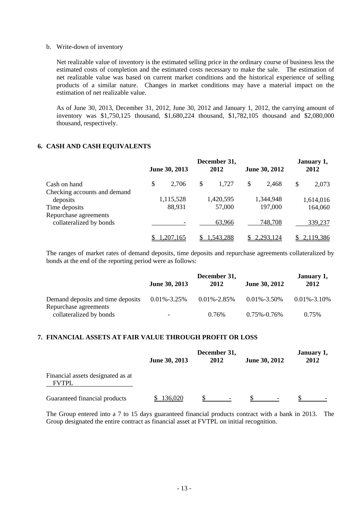#### b. Write-down of inventory

Net realizable value of inventory is the estimated selling price in the ordinary course of business less the estimated costs of completion and the estimated costs necessary to make the sale. The estimation of net realizable value was based on current market conditions and the historical experience of selling products of a similar nature. Changes in market conditions may have a material impact on the estimation of net realizable value.

As of June 30, 2013, December 31, 2012, June 30, 2012 and January 1, 2012, the carrying amount of inventory was \$1,750,125 thousand, \$1,680,224 thousand, \$1,782,105 thousand and \$2,080,000 thousand, respectively.

#### **6. CASH AND CASH EQUIVALENTS**

|                                                  | June 30, 2013  | December 31,<br>2012 | June 30, 2012 | January 1,<br>2012 |
|--------------------------------------------------|----------------|----------------------|---------------|--------------------|
| Cash on hand                                     | \$<br>2,706    | \$<br>1,727          | \$<br>2,468   | \$<br>2,073        |
| Checking accounts and demand                     |                |                      |               |                    |
| deposits                                         | 1,115,528      | 1,420,595            | 1,344,948     | 1,614,016          |
| Time deposits                                    | 88,931         | 57,000               | 197,000       | 164,060            |
| Repurchase agreements<br>collateralized by bonds |                | 63,966               | 748,708       | 339,237            |
|                                                  | <u>207,165</u> | 1,543,288            | 2,293,124     | 2,119,386          |

The ranges of market rates of demand deposits, time deposits and repurchase agreements collateralized by bonds at the end of the reporting period were as follows:

|                                                            | June 30, 2013            | December 31,<br>2012 | <b>June 30, 2012</b> | January 1,<br>2012 |
|------------------------------------------------------------|--------------------------|----------------------|----------------------|--------------------|
| Demand deposits and time deposits<br>Repurchase agreements | $0.01\% - 3.25\%$        | $0.01\% - 2.85\%$    | $0.01\% - 3.50\%$    | $0.01\% - 3.10\%$  |
| collateralized by bonds                                    | $\overline{\phantom{0}}$ | 0.76%                | $0.75\% - 0.76\%$    | 0.75%              |

### **7. FINANCIAL ASSETS AT FAIR VALUE THROUGH PROFIT OR LOSS**

|                                                   | <b>June 30, 2013</b> | December 31,<br>2012 | <b>June 30, 2012</b> | January 1,<br>2012 |
|---------------------------------------------------|----------------------|----------------------|----------------------|--------------------|
| Financial assets designated as at<br><b>FVTPL</b> |                      |                      |                      |                    |
| Guaranteed financial products                     | 136,020              |                      |                      |                    |

The Group entered into a 7 to 15 days guaranteed financial products contract with a bank in 2013. The Group designated the entire contract as financial asset at FVTPL on initial recognition.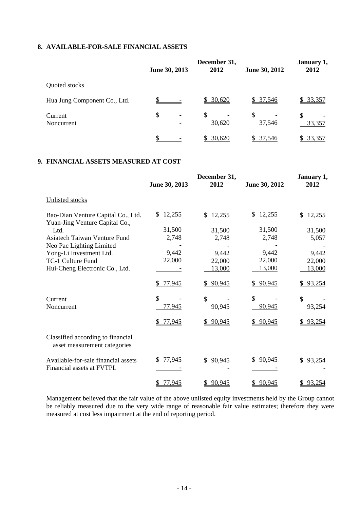### **8. AVAILABLE-FOR-SALE FINANCIAL ASSETS**

|                              | June 30, 2013 | December 31,<br>2012 | June 30, 2012 | January 1,<br>2012 |
|------------------------------|---------------|----------------------|---------------|--------------------|
| Quoted stocks                |               |                      |               |                    |
| Hua Jung Component Co., Ltd. |               | \$30,620             | \$37,546      | \$33,357           |
| Current<br>Noncurrent        | \$            | \$<br>30,620         | \$.<br>37,546 | S<br>33,357        |
|                              |               | \$30,620             | \$37,546      | 33,357<br>S.       |

### **9. FINANCIAL ASSETS MEASURED AT COST**

|                                                                      | June 30, 2013 | December 31,<br>2012 | June 30, 2012 | January 1,<br>2012 |
|----------------------------------------------------------------------|---------------|----------------------|---------------|--------------------|
| Unlisted stocks                                                      |               |                      |               |                    |
| Bao-Dian Venture Capital Co., Ltd.<br>Yuan-Jing Venture Capital Co., | 12,255        | 12,255<br>\$         | 12,255<br>\$. | \$<br>12,255       |
| Ltd.                                                                 | 31,500        | 31,500               | 31,500        | 31,500             |
| <b>Asiatech Taiwan Venture Fund</b>                                  | 2,748         | 2,748                | 2,748         | 5,057              |
| Neo Pac Lighting Limited                                             |               |                      |               |                    |
| Yong-Li Investment Ltd.                                              | 9,442         | 9,442                | 9,442         | 9,442              |
| TC-1 Culture Fund                                                    | 22,000        | 22,000               | 22,000        | 22,000             |
| Hui-Cheng Electronic Co., Ltd.                                       |               | 13,000               | 13,000        | 13,000             |
|                                                                      | 77,945        | \$90,945             | 90,945        | \$93,254           |
| Current                                                              | \$            | \$                   | \$            | $\mathcal{S}$      |
| Noncurrent                                                           | 77,945        | 90,945               | 90,945        | 93,254             |
|                                                                      | 77,945        | \$90,945             | 90,945        | 93,254             |
| Classified according to financial<br>asset measurement categories    |               |                      |               |                    |
| Available-for-sale financial assets                                  | 77,945<br>S.  | \$90,945             | 90,945<br>\$  | \$93,254           |
| Financial assets at FVTPL                                            |               |                      |               |                    |
|                                                                      | 77,945        | \$90,945             | \$90,945      | \$93,254           |

Management believed that the fair value of the above unlisted equity investments held by the Group cannot be reliably measured due to the very wide range of reasonable fair value estimates; therefore they were measured at cost less impairment at the end of reporting period.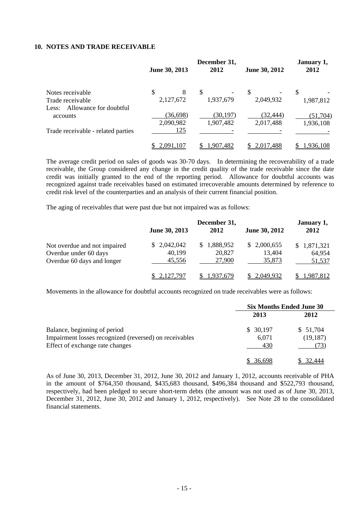#### **10. NOTES AND TRADE RECEIVABLE**

|                                    | June 30, 2013 | December 31,<br>2012 | June 30, 2012 | January 1,<br>2012 |
|------------------------------------|---------------|----------------------|---------------|--------------------|
| Notes receivable                   | \$<br>8       | \$                   | \$            | \$                 |
| Trade receivable                   | 2,127,672     | 1,937,679            | 2,049,932     | 1,987,812          |
| Allowance for doubtful<br>Less:    |               |                      |               |                    |
| accounts                           | (36, 698)     | (30, 197)            | (32,444)      | (51,704)           |
|                                    | 2,090,982     | 1,907,482            | 2,017,488     | 1,936,108          |
| Trade receivable - related parties | 125           |                      |               |                    |
|                                    | 2,091,107     | 1.907.482            | 2.017.488     | 1,936,108          |

The average credit period on sales of goods was 30-70 days. In determining the recoverability of a trade receivable, the Group considered any change in the credit quality of the trade receivable since the date credit was initially granted to the end of the reporting period. Allowance for doubtful accounts was recognized against trade receivables based on estimated irrecoverable amounts determined by reference to credit risk level of the counterparties and an analysis of their current financial position.

The aging of receivables that were past due but not impaired was as follows:

|                                                                                     | June 30, 2013                   | December 31,<br>2012                | June 30, 2012                   | January 1,<br>2012              |
|-------------------------------------------------------------------------------------|---------------------------------|-------------------------------------|---------------------------------|---------------------------------|
| Not overdue and not impaired<br>Overdue under 60 days<br>Overdue 60 days and longer | \$2,042,042<br>40,199<br>45,556 | 1,888,952<br>S.<br>20,827<br>27,900 | \$2,000,655<br>13,404<br>35,873 | \$1,871,321<br>64,954<br>51,537 |
|                                                                                     | \$2,127,797                     | 1.937.679                           | 2.049.932                       | 1.987.812                       |

Movements in the allowance for doubtful accounts recognized on trade receivables were as follows:

|                                                        | <b>Six Months Ended June 30</b> |                      |  |
|--------------------------------------------------------|---------------------------------|----------------------|--|
|                                                        | 2013                            | 2012                 |  |
| Balance, beginning of period                           | \$30,197                        | \$51,704             |  |
| Impairment losses recognized (reversed) on receivables | 6,071                           | (19, 187)            |  |
| Effect of exchange rate changes                        | 430                             | $\binom{13}{ }$      |  |
|                                                        | 36.698                          | $\frac{1}{2}$ 32.444 |  |

As of June 30, 2013, December 31, 2012, June 30, 2012 and January 1, 2012, accounts receivable of PHA in the amount of \$764,350 thousand, \$435,683 thousand, \$496,384 thousand and \$522,793 thousand, respectively, had been pledged to secure short-term debts (the amount was not used as of June 30, 2013, December 31, 2012, June 30, 2012 and January 1, 2012, respectively). See Note 28 to the consolidated financial statements.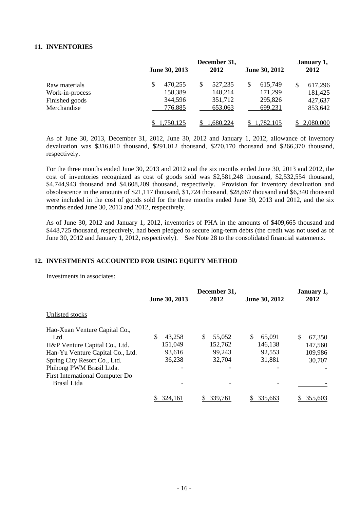#### **11. INVENTORIES**

|                 | June 30, 2013 | December 31,<br>2012 | June 30, 2012 | January 1,<br>2012 |
|-----------------|---------------|----------------------|---------------|--------------------|
| Raw materials   | 470,255<br>\$ | 527,235<br>S         | 615,749       | \$<br>617,296      |
| Work-in-process | 158,389       | 148,214              | 171,299       | 181,425            |
| Finished goods  | 344,596       | 351,712              | 295,826       | 427,637            |
| Merchandise     | 776,885       | 653,063              | 699,231       | 853,642            |
|                 | 750,125       | .680,224             | 1,782,105     | 2,080,000          |

As of June 30, 2013, December 31, 2012, June 30, 2012 and January 1, 2012, allowance of inventory devaluation was \$316,010 thousand, \$291,012 thousand, \$270,170 thousand and \$266,370 thousand, respectively.

For the three months ended June 30, 2013 and 2012 and the six months ended June 30, 2013 and 2012, the cost of inventories recognized as cost of goods sold was \$2,581,248 thousand, \$2,532,554 thousand, \$4,744,943 thousand and \$4,608,209 thousand, respectively. Provision for inventory devaluation and obsolescence in the amounts of \$21,117 thousand, \$1,724 thousand, \$28,667 thousand and \$6,340 thousand were included in the cost of goods sold for the three months ended June 30, 2013 and 2012, and the six months ended June 30, 2013 and 2012, respectively.

As of June 30, 2012 and January 1, 2012, inventories of PHA in the amounts of \$409,665 thousand and \$448,725 thousand, respectively, had been pledged to secure long-term debts (the credit was not used as of June 30, 2012 and January 1, 2012, respectively). See Note 28 to the consolidated financial statements.

#### **12. INVESTMENTS ACCOUNTED FOR USING EQUITY METHOD**

Investments in associates:

|                                        | June 30, 2013 | December 31,<br>2012 | June 30, 2012 | January 1,<br>2012 |
|----------------------------------------|---------------|----------------------|---------------|--------------------|
| Unlisted stocks                        |               |                      |               |                    |
| Hao-Xuan Venture Capital Co.,          |               |                      |               |                    |
| Ltd.                                   | 43,258        | S<br>55,052          | \$<br>65,091  | S<br>67,350        |
| H&P Venture Capital Co., Ltd.          | 151,049       | 152,762              | 146,138       | 147,560            |
| Han-Yu Venture Capital Co., Ltd.       | 93,616        | 99,243               | 92,553        | 109,986            |
| Spring City Resort Co., Ltd.           | 36,238        | 32,704               | 31,881        | 30,707             |
| Phihong PWM Brasil Ltda.               |               |                      |               |                    |
| <b>First International Computer Do</b> |               |                      |               |                    |
| Brasil Ltda                            |               |                      |               |                    |
|                                        | 324,161       | 339,761              | 335,663       | 355,603            |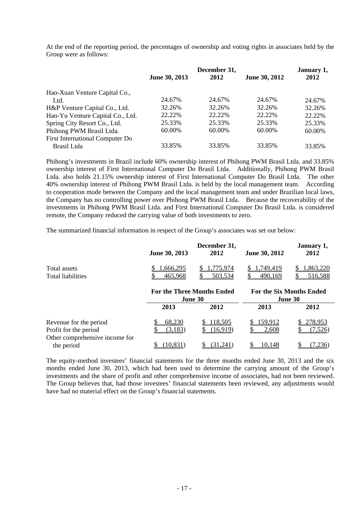At the end of the reporting period, the percentages of ownership and voting rights in associates held by the Group were as follows:

|                                        |               | December 31, |               | January 1, |  |
|----------------------------------------|---------------|--------------|---------------|------------|--|
|                                        | June 30, 2013 | 2012         | June 30, 2012 | 2012       |  |
| Hao-Xuan Venture Capital Co.,          |               |              |               |            |  |
| Ltd.                                   | 24.67%        | 24.67%       | 24.67%        | 24.67%     |  |
| H&P Venture Capital Co., Ltd.          | 32.26%        | 32.26%       | 32.26%        | 32.26%     |  |
| Han-Yu Venture Capital Co., Ltd.       | 22.22%        | 22.22\%      | 22.22%        | 22.22%     |  |
| Spring City Resort Co., Ltd.           | 25.33%        | 25.33%       | 25.33%        | 25.33%     |  |
| Phihong PWM Brasil Ltda.               | 60.00%        | 60.00%       | 60.00%        | 60.00%     |  |
| <b>First International Computer Do</b> |               |              |               |            |  |
| Brasil Ltda                            | 33.85%        | 33.85%       | 33.85%        | 33.85%     |  |

Phihong's investments in Brazil include 60% ownership interest of Phihong PWM Brasil Ltda. and 33.85% ownership interest of First International Computer Do Brasil Ltda. Additionally, Phihong PWM Brasil Ltda. also holds 21.15% ownership interest of First International Computer Do Brasil Ltda. The other 40% ownership interest of Phihong PWM Brasil Ltda. is held by the local management team. According to cooperation mode between the Company and the local management team and under Brazilian local laws, the Company has no controlling power over Phihong PWM Brasil Ltda. Because the recoverability of the investments in Phihong PWM Brasil Ltda. and First International Computer Do Brasil Ltda. is considered remote, the Company reduced the carrying value of both investments to zero.

The summarized financial information in respect of the Group's associates was set out below:

|                                                                                   | June 30, 2013                                | December 31,<br>2012     | June 30, 2012                              | January 1,<br>2012  |  |
|-----------------------------------------------------------------------------------|----------------------------------------------|--------------------------|--------------------------------------------|---------------------|--|
| Total assets<br><b>Total liabilities</b>                                          | .666,295<br>465,968                          | 775,974<br>503,534<br>\$ | 1,749,419<br>490,169                       | .863,220<br>516,588 |  |
|                                                                                   | <b>For the Three Months Ended</b><br>June 30 |                          | <b>For the Six Months Ended</b><br>June 30 |                     |  |
|                                                                                   | 2013                                         | 2012                     | 2013                                       | 2012                |  |
| Revenue for the period<br>Profit for the period<br>Other comprehensive income for | 68,230<br>(3,183)                            | 118,505<br>(16,919)      | 159,912<br>2,608                           | 278,953<br>(7.526)  |  |
| the period                                                                        | (10, 831)                                    | (31,241)                 | 10,148                                     | 236                 |  |

The equity-method investees' financial statements for the three months ended June 30, 2013 and the six months ended June 30, 2013, which had been used to determine the carrying amount of the Group's investments and the share of profit and other comprehensive income of associates, had not been reviewed. The Group believes that, had those investees' financial statements been reviewed, any adjustments would have had no material effect on the Group's financial statements.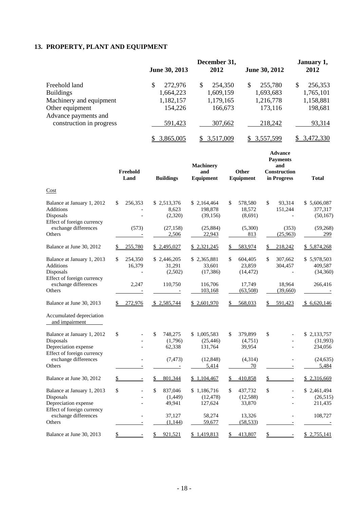## **13. PROPERTY, PLANT AND EQUIPMENT**

|                          | December 31,  |              |               | January 1,    |  |
|--------------------------|---------------|--------------|---------------|---------------|--|
|                          | June 30, 2013 | 2012         | June 30, 2012 | 2012          |  |
| Freehold land            | \$<br>272,976 | 254,350<br>S | 255,780<br>\$ | 256,353<br>\$ |  |
| <b>Buildings</b>         | 1,664,223     | 1,609,159    | 1,693,683     | 1,765,101     |  |
| Machinery and equipment  | 1,182,157     | 1,179,165    | 1,216,778     | 1,158,881     |  |
| Other equipment          | 154,226       | 166,673      | 173,116       | 198,681       |  |
| Advance payments and     |               |              |               |               |  |
| construction in progress | 591,423       | 307,662      | 218,242       | 93,314        |  |
|                          | 3,865,005     | 3.517.009    | 3,557,599     | 3,472,330     |  |

|                                                                                               | Freehold<br>Land                  | <b>Buildings</b>                   | <b>Machinery</b><br>and<br>Equipment | Other<br>Equipment                   | <b>Advance</b><br><b>Payments</b><br>and<br><b>Construction</b><br>in Progress | <b>Total</b>                        |
|-----------------------------------------------------------------------------------------------|-----------------------------------|------------------------------------|--------------------------------------|--------------------------------------|--------------------------------------------------------------------------------|-------------------------------------|
| Cost                                                                                          |                                   |                                    |                                      |                                      |                                                                                |                                     |
| Balance at January 1, 2012<br>Additions<br>Disposals<br>Effect of foreign currency            | \$<br>256,353                     | \$2,513,376<br>8,623<br>(2,320)    | \$2,164,464<br>198,878<br>(39, 156)  | \$<br>578,580<br>18,572<br>(8,691)   | \$<br>93,314<br>151,244                                                        | \$5,606,087<br>377,317<br>(50, 167) |
| exchange differences<br>Others                                                                | (573)                             | (27, 158)<br>2,506                 | (25, 884)<br>22,943                  | (5,300)<br>813                       | (353)<br>(25,963)                                                              | (59,268)<br>299                     |
| Balance at June 30, 2012                                                                      | 255,780                           | \$2,495,027                        | <u>\$2,321,245</u>                   | 583,974                              | 218,242                                                                        | \$5,874,268                         |
| Balance at January 1, 2013<br><b>Additions</b><br>Disposals<br>Effect of foreign currency     | \$<br>254,350<br>16,379           | \$2,446,205<br>31,291<br>(2,502)   | \$2,365,881<br>33,601<br>(17, 386)   | \$<br>604,405<br>23,859<br>(14, 472) | \$<br>307,662<br>304,457                                                       | \$5,978,503<br>409,587<br>(34,360)  |
| exchange differences<br>Others                                                                | 2,247<br>$\overline{\phantom{a}}$ | 110,750                            | 116,706<br>103,168                   | 17,749<br>(63,508)                   | 18,964<br>(39,660)                                                             | 266,416                             |
| Balance at June 30, 2013                                                                      | 272,976                           | \$2,585,744                        | \$2,601,970                          | 568,033                              | 591,423                                                                        | \$6,620,146                         |
| Accumulated depreciation<br>and impairment                                                    |                                   |                                    |                                      |                                      |                                                                                |                                     |
| Balance at January 1, 2012<br>Disposals<br>Depreciation expense<br>Effect of foreign currency | \$                                | \$<br>748,275<br>(1,796)<br>62,338 | \$1,005,583<br>(25, 446)<br>131,764  | \$<br>379,899<br>(4,751)<br>39,954   | \$                                                                             | \$2,133,757<br>(31,993)<br>234,056  |
| exchange differences<br>Others                                                                |                                   | (7, 473)                           | (12, 848)<br>5,414                   | (4,314)<br>70                        |                                                                                | (24, 635)<br>5.484                  |
| Balance at June 30, 2012                                                                      | \$                                | \$<br>801,344                      | \$1,104,467                          | 410,858                              | \$                                                                             | 2,316,669<br>\$                     |
| Balance at January 1, 2013<br>Disposals<br>Depreciation expense<br>Effect of foreign currency | \$                                | \$<br>837,046<br>(1,449)<br>49,941 | \$1,186,716<br>(12, 478)<br>127,624  | \$<br>437,732<br>(12,588)<br>33,870  | \$<br>$\overline{a}$                                                           | \$2,461,494<br>(26, 515)<br>211,435 |
| exchange differences<br>Others                                                                |                                   | 37,127<br>(1,144)                  | 58,274<br>59,677                     | 13,326<br>(58, 533)                  |                                                                                | 108,727                             |
| Balance at June 30, 2013                                                                      | \$                                | 921,521<br>\$                      | \$1,419,813                          | 413,807<br>\$                        | \$                                                                             | \$2,755,141                         |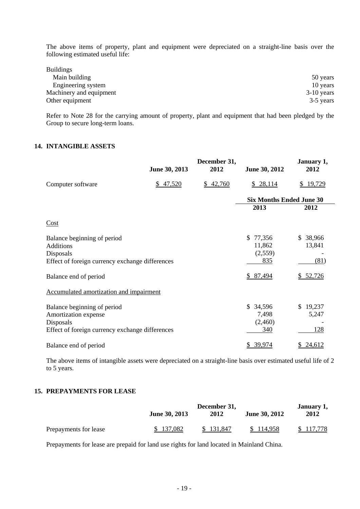The above items of property, plant and equipment were depreciated on a straight-line basis over the following estimated useful life:

| <b>Buildings</b>        |              |
|-------------------------|--------------|
| Main building           | 50 years     |
| Engineering system      | 10 years     |
| Machinery and equipment | $3-10$ years |
| Other equipment         | 3-5 years    |

Refer to Note 28 for the carrying amount of property, plant and equipment that had been pledged by the Group to secure long-term loans.

#### **14. INTANGIBLE ASSETS**

|                                                 | June 30, 2013 | December 31,<br>2012 | June 30, 2012                   | January 1,<br>2012 |
|-------------------------------------------------|---------------|----------------------|---------------------------------|--------------------|
| Computer software                               | \$47,520      | 42,760<br>S.         | \$28,114                        | \$19,729           |
|                                                 |               |                      | <b>Six Months Ended June 30</b> |                    |
|                                                 |               |                      | 2013                            | 2012               |
| Cost                                            |               |                      |                                 |                    |
| Balance beginning of period                     |               |                      | \$77,356                        | 38,966<br>SS.      |
| <b>Additions</b>                                |               |                      | 11,862                          | 13,841             |
| Disposals                                       |               |                      | (2,559)                         |                    |
| Effect of foreign currency exchange differences |               |                      | 835                             | (81)               |
| Balance end of period                           |               |                      | \$87,494                        | \$52,726           |
| Accumulated amortization and impairment         |               |                      |                                 |                    |
| Balance beginning of period                     |               |                      | \$34,596                        | \$19,237           |
| Amortization expense                            |               |                      | 7,498                           | 5,247              |
| Disposals                                       |               |                      | (2,460)                         |                    |
| Effect of foreign currency exchange differences |               |                      | 340                             | 128                |
| Balance end of period                           |               |                      | 39,974                          | 24,612             |

The above items of intangible assets were depreciated on a straight-line basis over estimated useful life of 2 to 5 years.

#### **15. PREPAYMENTS FOR LEASE**

|                       | June 30, 2013 | December 31,<br>2012 | June 30, 2012 | January 1,<br>2012 |
|-----------------------|---------------|----------------------|---------------|--------------------|
| Prepayments for lease | \$137,082     | \$131.847            | \$114.958     | \$117,778          |

Prepayments for lease are prepaid for land use rights for land located in Mainland China.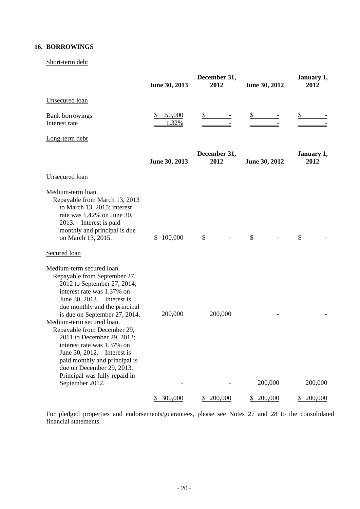### **16. BORROWINGS**

#### Short-term debt

|                                                                                                                                                                                                                                                                                                                                                                                                                                                                                | June 30, 2013   | December 31,<br>2012 | June 30, 2012 | January 1,<br>2012 |
|--------------------------------------------------------------------------------------------------------------------------------------------------------------------------------------------------------------------------------------------------------------------------------------------------------------------------------------------------------------------------------------------------------------------------------------------------------------------------------|-----------------|----------------------|---------------|--------------------|
| <b>Unsecured</b> loan                                                                                                                                                                                                                                                                                                                                                                                                                                                          |                 |                      |               |                    |
| <b>Bank borrowings</b><br>Interest rate                                                                                                                                                                                                                                                                                                                                                                                                                                        | 50,000<br>1.32% |                      |               |                    |
| Long-term debt                                                                                                                                                                                                                                                                                                                                                                                                                                                                 |                 |                      |               |                    |
|                                                                                                                                                                                                                                                                                                                                                                                                                                                                                | June 30, 2013   | December 31,<br>2012 | June 30, 2012 | January 1,<br>2012 |
| <b>Unsecured</b> loan                                                                                                                                                                                                                                                                                                                                                                                                                                                          |                 |                      |               |                    |
| Medium-term loan.<br>Repayable from March 13, 2013<br>to March 13, 2015; interest<br>rate was 1.42% on June 30,<br>2013. Interest is paid<br>monthly and principal is due<br>on March 13, 2015.<br>Secured loan                                                                                                                                                                                                                                                                | 100,000<br>\$   | \$                   | \$            | \$                 |
|                                                                                                                                                                                                                                                                                                                                                                                                                                                                                |                 |                      |               |                    |
| Medium-term secured loan.<br>Repayable from September 27,<br>2012 to September 27, 2014;<br>interest rate was 1.37% on<br>June 30, 2013. Interest is<br>due monthly and the principal<br>is due on September 27, 2014.<br>Medium-term secured loan.<br>Repayable from December 29,<br>2011 to December 29, 2013;<br>interest rate was 1.37% on<br>June 30, 2012.<br>Interest is<br>paid monthly and principal is<br>due on December 29, 2013.<br>Principal was fully repaid in | 200,000         | 200,000              |               |                    |
| September 2012.                                                                                                                                                                                                                                                                                                                                                                                                                                                                |                 |                      | 200,000       | 200,000            |
|                                                                                                                                                                                                                                                                                                                                                                                                                                                                                | \$300,000       | \$200,000            | \$200,000     | 200,000<br>\$.     |

For pledged properties and endorsements/guarantees, please see Notes 27 and 28 to the consolidated financial statements.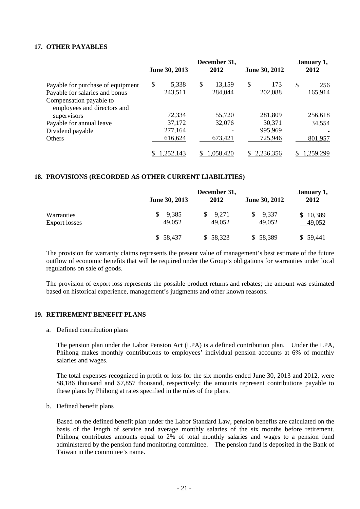#### **17. OTHER PAYABLES**

|                                                        |    | June 30, 2013   |    | December 31,<br>2012 |    | June 30, 2012 |    | January 1,<br>2012 |  |
|--------------------------------------------------------|----|-----------------|----|----------------------|----|---------------|----|--------------------|--|
| Payable for purchase of equipment                      | \$ | 5,338           | \$ | 13,159               | \$ | 173           | \$ | 256                |  |
| Payable for salaries and bonus                         |    | 243,511         |    | 284,044              |    | 202,088       |    | 165,914            |  |
| Compensation payable to<br>employees and directors and |    |                 |    |                      |    |               |    |                    |  |
| supervisors                                            |    | 72,334          |    | 55,720               |    | 281,809       |    | 256,618            |  |
| Payable for annual leave                               |    | 37,172          |    | 32,076               |    | 30,371        |    | 34,554             |  |
| Dividend payable                                       |    | 277,164         |    |                      |    | 995,969       |    |                    |  |
| <b>Others</b>                                          |    | 616,624         |    | 673,421              |    | 725,946       |    | 801,957            |  |
|                                                        |    | <u>.252,143</u> |    | 1,058,420            |    | 2,236,356     |    | .259,299           |  |

#### **18. PROVISIONS (RECORDED AS OTHER CURRENT LIABILITIES)**

|                                    |                 | January 1,      |                 |                    |
|------------------------------------|-----------------|-----------------|-----------------|--------------------|
|                                    | June 30, 2013   | 2012            | June 30, 2012   | 2012               |
| Warranties<br><b>Export losses</b> | 9,385<br>49,052 | 9,271<br>49,052 | 9,337<br>49,052 | \$10,389<br>49,052 |
|                                    | \$58,437        | \$58,323        | \$58,389        | 59.441             |

The provision for warranty claims represents the present value of management's best estimate of the future outflow of economic benefits that will be required under the Group's obligations for warranties under local regulations on sale of goods.

The provision of export loss represents the possible product returns and rebates; the amount was estimated based on historical experience, management's judgments and other known reasons.

#### **19. RETIREMENT BENEFIT PLANS**

a. Defined contribution plans

The pension plan under the Labor Pension Act (LPA) is a defined contribution plan. Under the LPA, Phihong makes monthly contributions to employees' individual pension accounts at 6% of monthly salaries and wages.

The total expenses recognized in profit or loss for the six months ended June 30, 2013 and 2012, were \$8,186 thousand and \$7,857 thousand, respectively; the amounts represent contributions payable to these plans by Phihong at rates specified in the rules of the plans.

b. Defined benefit plans

Based on the defined benefit plan under the Labor Standard Law, pension benefits are calculated on the basis of the length of service and average monthly salaries of the six months before retirement. Phihong contributes amounts equal to 2% of total monthly salaries and wages to a pension fund administered by the pension fund monitoring committee. The pension fund is deposited in the Bank of Taiwan in the committee's name.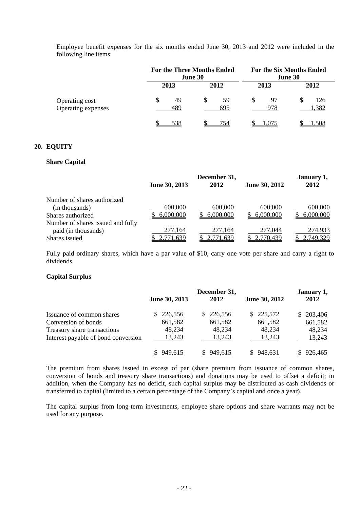Employee benefit expenses for the six months ended June 30, 2013 and 2012 were included in the following line items:

|                                      |           | <b>For the Three Months Ended</b><br><b>June 30</b> | <b>For the Six Months Ended</b><br><b>June 30</b> |                   |  |
|--------------------------------------|-----------|-----------------------------------------------------|---------------------------------------------------|-------------------|--|
|                                      | 2013      | 2012                                                | 2013                                              | 2012              |  |
| Operating cost<br>Operating expenses | 49<br>489 | S<br>59<br>695                                      | 97<br>978                                         | 126<br>S<br>1,382 |  |
|                                      | 538       | 754                                                 | .075                                              | l.508             |  |

#### **20. EQUITY**

#### **Share Capital**

|                                   | June 30, 2013 | January 1,<br>2012 |               |           |
|-----------------------------------|---------------|--------------------|---------------|-----------|
|                                   |               | 2012               | June 30, 2012 |           |
| Number of shares authorized       |               |                    |               |           |
| (in thousands)                    | 600,000       | 600,000            | 600,000       | 600,000   |
| Shares authorized                 | 6,000,000     | 6,000,000          | 6,000,000     | 6,000,000 |
| Number of shares issued and fully |               |                    |               |           |
| paid (in thousands)               | 277,164       | 277,164            | 277,044       | 274,933   |
| Shares issued                     | ,771,639      | 2,771,639          | 2,770,439     | 2,749,329 |

Fully paid ordinary shares, which have a par value of \$10, carry one vote per share and carry a right to dividends.

#### **Capital Surplus**

|                                     | June 30, 2013 | December 31,<br>2012 | June 30, 2012 | January 1,<br>2012 |
|-------------------------------------|---------------|----------------------|---------------|--------------------|
| Issuance of common shares           | 226,556<br>S. | \$226,556            | \$225,572     | 203,406<br>S.      |
| Conversion of bonds                 | 661,582       | 661,582              | 661,582       | 661,582            |
| Treasury share transactions         | 48,234        | 48,234               | 48,234        | 48,234             |
| Interest payable of bond conversion | 13,243        | 13,243               | 13,243        | 13,243             |
|                                     | 949,615       | 949,615              | 948,631       | 926,465            |

The premium from shares issued in excess of par (share premium from issuance of common shares, conversion of bonds and treasury share transactions) and donations may be used to offset a deficit; in addition, when the Company has no deficit, such capital surplus may be distributed as cash dividends or transferred to capital (limited to a certain percentage of the Company's capital and once a year).

The capital surplus from long-term investments, employee share options and share warrants may not be used for any purpose.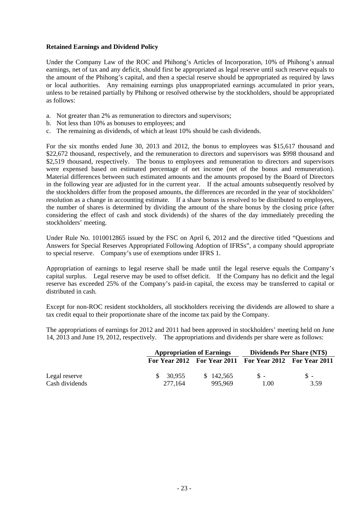#### **Retained Earnings and Dividend Policy**

Under the Company Law of the ROC and Phihong's Articles of Incorporation, 10% of Phihong's annual earnings, net of tax and any deficit, should first be appropriated as legal reserve until such reserve equals to the amount of the Phihong's capital, and then a special reserve should be appropriated as required by laws or local authorities. Any remaining earnings plus unappropriated earnings accumulated in prior years, unless to be retained partially by Phihong or resolved otherwise by the stockholders, should be appropriated as follows:

- a. Not greater than 2% as remuneration to directors and supervisors;
- b. Not less than 10% as bonuses to employees; and
- c. The remaining as dividends, of which at least 10% should be cash dividends.

For the six months ended June 30, 2013 and 2012, the bonus to employees was \$15,617 thousand and \$22,672 thousand, respectively, and the remuneration to directors and supervisors was \$998 thousand and \$2,519 thousand, respectively. The bonus to employees and remuneration to directors and supervisors were expensed based on estimated percentage of net income (net of the bonus and remuneration). Material differences between such estimated amounts and the amounts proposed by the Board of Directors in the following year are adjusted for in the current year. If the actual amounts subsequently resolved by the stockholders differ from the proposed amounts, the differences are recorded in the year of stockholders' resolution as a change in accounting estimate. If a share bonus is resolved to be distributed to employees, the number of shares is determined by dividing the amount of the share bonus by the closing price (after considering the effect of cash and stock dividends) of the shares of the day immediately preceding the stockholders' meeting.

Under Rule No. 1010012865 issued by the FSC on April 6, 2012 and the directive titled "Questions and Answers for Special Reserves Appropriated Following Adoption of IFRSs", a company should appropriate to special reserve. Company's use of exemptions under IFRS 1.

Appropriation of earnings to legal reserve shall be made until the legal reserve equals the Company's capital surplus. Legal reserve may be used to offset deficit. If the Company has no deficit and the legal reserve has exceeded 25% of the Company's paid-in capital, the excess may be transferred to capital or distributed in cash.

Except for non-ROC resident stockholders, all stockholders receiving the dividends are allowed to share a tax credit equal to their proportionate share of the income tax paid by the Company.

The appropriations of earnings for 2012 and 2011 had been approved in stockholders' meeting held on June 14, 2013 and June 19, 2012, respectively. The appropriations and dividends per share were as follows:

|                |           | <b>Appropriation of Earnings</b> |                                                         | <b>Dividends Per Share (NT\$)</b> |
|----------------|-----------|----------------------------------|---------------------------------------------------------|-----------------------------------|
|                |           |                                  | For Year 2012 For Year 2011 For Year 2012 For Year 2011 |                                   |
| Legal reserve  | \$ 30.955 | \$142.565                        | $S -$                                                   | $S -$                             |
| Cash dividends | 277.164   | 995.969                          | 1.00                                                    | 3.59                              |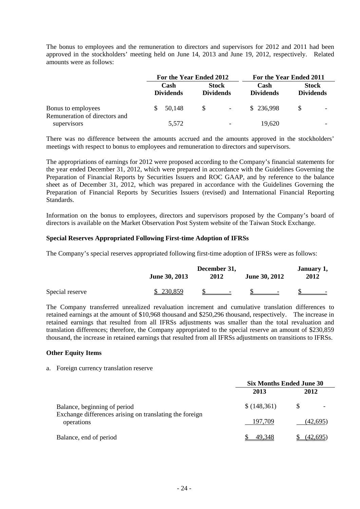The bonus to employees and the remuneration to directors and supervisors for 2012 and 2011 had been approved in the stockholders' meeting held on June 14, 2013 and June 19, 2012, respectively. Related amounts were as follows:

|                                                     | For the Year Ended 2012  |        |                                  | For the Year Ended 2011 |                          |                                  |                          |
|-----------------------------------------------------|--------------------------|--------|----------------------------------|-------------------------|--------------------------|----------------------------------|--------------------------|
|                                                     | Cash<br><b>Dividends</b> |        | <b>Stock</b><br><b>Dividends</b> |                         | Cash<br><b>Dividends</b> | <b>Stock</b><br><b>Dividends</b> |                          |
| Bonus to employees<br>Remuneration of directors and |                          | 50,148 | <sup>S</sup>                     | $\equiv$                | \$236,998                | -S                               | $\overline{\phantom{0}}$ |
| supervisors                                         |                          | 5,572  |                                  | -                       | 19.620                   |                                  |                          |

There was no difference between the amounts accrued and the amounts approved in the stockholders' meetings with respect to bonus to employees and remuneration to directors and supervisors.

The appropriations of earnings for 2012 were proposed according to the Company's financial statements for the year ended December 31, 2012, which were prepared in accordance with the Guidelines Governing the Preparation of Financial Reports by Securities Issuers and ROC GAAP, and by reference to the balance sheet as of December 31, 2012, which was prepared in accordance with the Guidelines Governing the Preparation of Financial Reports by Securities Issuers (revised) and International Financial Reporting Standards.

Information on the bonus to employees, directors and supervisors proposed by the Company's board of directors is available on the Market Observation Post System website of the Taiwan Stock Exchange.

#### **Special Reserves Appropriated Following First-time Adoption of IFRSs**

The Company's special reserves appropriated following first-time adoption of IFRSs were as follows:

|                 | June 30, 2013 | December 31,<br>2012     | June 30, 2012            | January 1,<br>2012 |  |
|-----------------|---------------|--------------------------|--------------------------|--------------------|--|
| Special reserve | 230,859       | $\overline{\phantom{a}}$ | $\overline{\phantom{0}}$ |                    |  |

The Company transferred unrealized revaluation increment and cumulative translation differences to retained earnings at the amount of \$10,968 thousand and \$250,296 thousand, respectively. The increase in retained earnings that resulted from all IFRSs adjustments was smaller than the total revaluation and translation differences; therefore, the Company appropriated to the special reserve an amount of \$230,859 thousand, the increase in retained earnings that resulted from all IFRSs adjustments on transitions to IFRSs.

#### **Other Equity Items**

#### a. Foreign currency translation reserve

|                                                                                                       | <b>Six Months Ended June 30</b> |          |  |
|-------------------------------------------------------------------------------------------------------|---------------------------------|----------|--|
|                                                                                                       | 2013                            | 2012     |  |
| Balance, beginning of period<br>Exchange differences arising on translating the foreign<br>operations | \$(148,361)                     |          |  |
|                                                                                                       | 197,709                         | (42,695) |  |
| Balance, end of period                                                                                | 49.348                          | (42,695) |  |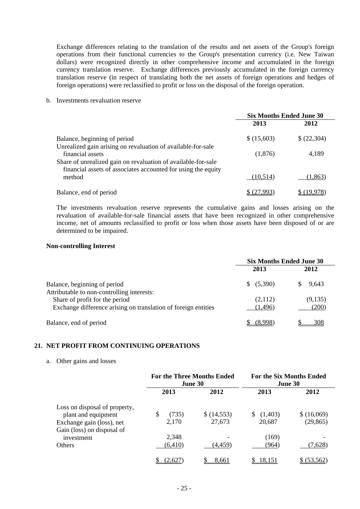Exchange differences relating to the translation of the results and net assets of the Group's foreign operations from their functional currencies to the Group's presentation currency (i.e. New Taiwan dollars) were recognized directly in other comprehensive income and accumulated in the foreign currency translation reserve. Exchange differences previously accumulated in the foreign currency translation reserve (in respect of translating both the net assets of foreign operations and hedges of foreign operations) were reclassified to profit or loss on the disposal of the foreign operation.

b. Investments revaluation reserve

|                                                                                                                                | <b>Six Months Ended June 30</b> |             |
|--------------------------------------------------------------------------------------------------------------------------------|---------------------------------|-------------|
|                                                                                                                                | 2013                            | 2012        |
| Balance, beginning of period                                                                                                   | \$ (15,603)                     | \$ (22,304) |
| Unrealized gain arising on revaluation of available-for-sale<br>financial assets                                               | (1,876)                         | 4,189       |
| Share of unrealized gain on revaluation of available-for-sale<br>financial assets of associates accounted for using the equity |                                 |             |
| method                                                                                                                         | (10,514)                        | (1, 863)    |
| Balance, end of period                                                                                                         |                                 |             |

The investments revaluation reserve represents the cumulative gains and losses arising on the revaluation of available-for-sale financial assets that have been recognized in other comprehensive income, net of amounts reclassified to profit or loss when those assets have been disposed of or are determined to be impaired.

#### **Non-controlling Interest**

|                                                                            | <b>Six Months Ended June 30</b> |         |
|----------------------------------------------------------------------------|---------------------------------|---------|
|                                                                            | 2013                            | 2012    |
| Balance, beginning of period<br>Attributable to non-controlling interests: | \$ (5,390)                      | 9.643   |
| Share of profit for the period                                             | (2,112)                         | (9,135) |
| Exchange difference arising on translation of foreign entities             | (1,496)                         | (200)   |
| Balance, end of period                                                     | <b>78.998</b>                   | 308     |

#### **21. NET PROFIT FROM CONTINUING OPERATIONS**

a. Other gains and losses

|                               | <b>For the Three Months Ended</b><br>June 30 |            | <b>For the Six Months Ended</b><br><b>June 30</b> |             |
|-------------------------------|----------------------------------------------|------------|---------------------------------------------------|-------------|
|                               | 2013                                         | 2012       | 2013                                              | 2012        |
| Loss on disposal of property, |                                              |            |                                                   |             |
| plant and equipment           | \$<br>(735)                                  | \$(14,553) | (1,403)                                           | \$ (16,069) |
| Exchange gain (loss), net     | 2,170                                        | 27,673     | 20,687                                            | (29, 865)   |
| Gain (loss) on disposal of    |                                              |            |                                                   |             |
| investment                    | 2,348                                        |            | (169)                                             |             |
| <b>Others</b>                 | (6, 410)                                     | (4,459)    | (964)                                             | (7,628)     |
|                               | (2,627                                       | 8,661      | 18,151                                            | \$ (53,562) |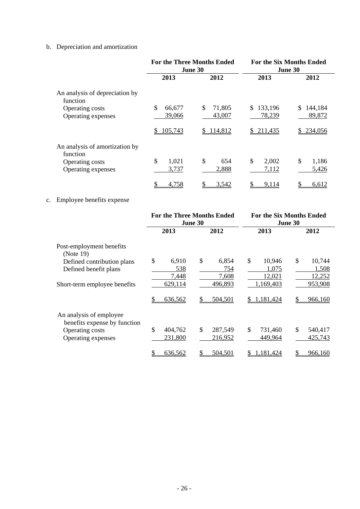## b. Depreciation and amortization

|                                            | <b>For the Three Months Ended</b><br>June 30 |                        |                         | <b>For the Six Months Ended</b><br>June 30 |
|--------------------------------------------|----------------------------------------------|------------------------|-------------------------|--------------------------------------------|
|                                            | 2013                                         | 2012                   | 2013                    | 2012                                       |
| An analysis of depreciation by<br>function |                                              |                        |                         |                                            |
| Operating costs<br>Operating expenses      | \$<br>66,677<br>39,066                       | \$<br>71,805<br>43,007 | \$<br>133,196<br>78,239 | 144,184<br>\$<br>89,872                    |
|                                            | 105,743                                      | 114,812<br>S           | 211,435<br>S.           | 234,056                                    |
| An analysis of amortization by<br>function | \$<br>1,021                                  | \$<br>654              | \$<br>2,002             | \$<br>1,186                                |
| Operating costs<br>Operating expenses      | 3,737                                        | 2,888                  | 7,112                   | 5,426                                      |
|                                            | 4,758                                        | 3,542                  | 9,114                   | 6,612                                      |

## c. Employee benefits expense

|                                                                                                  | <b>For the Three Months Ended</b><br>June 30 |                             |                                 | <b>For the Six Months Ended</b><br>June 30 |
|--------------------------------------------------------------------------------------------------|----------------------------------------------|-----------------------------|---------------------------------|--------------------------------------------|
|                                                                                                  | 2013                                         | 2012                        | 2013                            | 2012                                       |
| Post-employment benefits<br>(Note 19)                                                            |                                              |                             |                                 |                                            |
| Defined contribution plans<br>Defined benefit plans                                              | \$<br>6,910<br>538<br>7,448                  | \$<br>6,854<br>754<br>7,608 | \$<br>10,946<br>1,075<br>12,021 | \$<br>10,744<br>1,508<br>12,252            |
| Short-term employee benefits                                                                     | 629,114<br>636,562                           | 496,893<br>\$<br>504,501    | 1,169,403<br>1,181,424<br>S.    | 953,908<br>966,160                         |
| An analysis of employee<br>benefits expense by function<br>Operating costs<br>Operating expenses | \$<br>404,762<br>231,800                     | \$<br>287,549<br>216,952    | \$<br>731,460<br>449,964        | \$<br>540,417<br>425,743                   |
|                                                                                                  | 636,562                                      | 504,501                     | 1,181,424                       | 966,160                                    |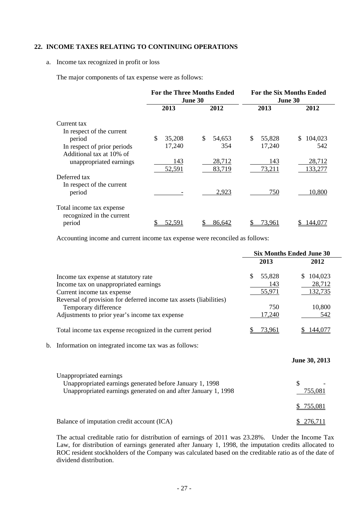### **22. INCOME TAXES RELATING TO CONTINUING OPERATIONS**

#### a. Income tax recognized in profit or loss

The major components of tax expense were as follows:

|                             | <b>For the Three Months Ended</b><br><b>June 30</b> |              | <b>For the Six Months Ended</b><br><b>June 30</b> |                |
|-----------------------------|-----------------------------------------------------|--------------|---------------------------------------------------|----------------|
|                             | 2013                                                | 2012         | 2013                                              | 2012           |
| Current tax                 |                                                     |              |                                                   |                |
| In respect of the current   |                                                     |              |                                                   |                |
| period                      | \$<br>35,208                                        | \$<br>54,653 | \$<br>55,828                                      | 104,023<br>\$. |
| In respect of prior periods | 17,240                                              | 354          | 17,240                                            | 542            |
| Additional tax at 10% of    |                                                     |              |                                                   |                |
| unappropriated earnings     | 143                                                 | 28,712       | 143                                               | 28,712         |
|                             | 52,591                                              | 83,719       | 73,211                                            | 133,277        |
| Deferred tax                |                                                     |              |                                                   |                |
| In respect of the current   |                                                     |              |                                                   |                |
| period                      |                                                     | 2,923        | 750                                               | 10,800         |
| Total income tax expense    |                                                     |              |                                                   |                |
| recognized in the current   |                                                     |              |                                                   |                |
| period                      | <u>52,591</u>                                       | 86,642       | <u>73.961</u>                                     | 144,0          |

Accounting income and current income tax expense were reconciled as follows:

|    |                                                                    | <b>Six Months Ended June 30</b> |               |                |
|----|--------------------------------------------------------------------|---------------------------------|---------------|----------------|
|    |                                                                    |                                 | 2013          | 2012           |
|    | Income tax expense at statutory rate                               | \$                              | 55,828        | \$104,023      |
|    | Income tax on unappropriated earnings                              |                                 | 143           | 28,712         |
|    | Current income tax expense                                         |                                 | 55,971        | <u>132,735</u> |
|    | Reversal of provision for deferred income tax assets (liabilities) |                                 |               |                |
|    | Temporary difference                                               |                                 | 750           | 10,800         |
|    | Adjustments to prior year's income tax expense                     |                                 | <u>17,240</u> | 542            |
|    | Total income tax expense recognized in the current period          |                                 | <u>73,961</u> | 144,077        |
| b. | Information on integrated income tax was as follows:               |                                 |               |                |
|    |                                                                    |                                 |               | June 30, 2013  |
|    | Unappropriated earnings                                            |                                 |               |                |
|    | Unappropriated earnings generated before January 1, 1998           |                                 |               | \$             |
|    | Unappropriated earnings generated on and after January 1, 1998     |                                 |               | 755,081        |
|    |                                                                    |                                 |               | 755,081        |
|    | Balance of imputation credit account (ICA)                         |                                 |               | 276,711        |

The actual creditable ratio for distribution of earnings of 2011 was 23.28%. Under the Income Tax Law, for distribution of earnings generated after January 1, 1998, the imputation credits allocated to ROC resident stockholders of the Company was calculated based on the creditable ratio as of the date of dividend distribution.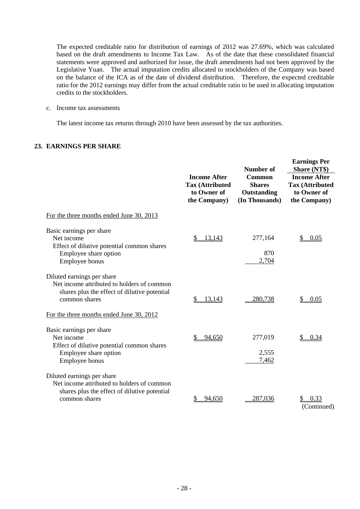The expected creditable ratio for distribution of earnings of 2012 was 27.69%, which was calculated based on the draft amendments to Income Tax Law. As of the date that these consolidated financial statements were approved and authorized for issue, the draft amendments had not been approved by the Legislative Yuan. The actual imputation credits allocated to stockholders of the Company was based on the balance of the ICA as of the date of dividend distribution. Therefore, the expected creditable ratio for the 2012 earnings may differ from the actual creditable ratio to be used in allocating imputation credits to the stockholders.

c. Income tax assessments

The latest income tax returns through 2010 have been assessed by the tax authorities.

### **23. EARNINGS PER SHARE**

|                                                                                                                                           | <b>Income After</b><br><b>Tax (Attributed</b><br>to Owner of<br>the Company) | Number of<br><b>Common</b><br><b>Shares</b><br>Outstanding<br>(In Thousands) | <b>Earnings Per</b><br>Share (NT\$)<br><b>Income After</b><br><b>Tax (Attributed</b><br>to Owner of<br>the Company) |
|-------------------------------------------------------------------------------------------------------------------------------------------|------------------------------------------------------------------------------|------------------------------------------------------------------------------|---------------------------------------------------------------------------------------------------------------------|
| For the three months ended June 30, 2013                                                                                                  |                                                                              |                                                                              |                                                                                                                     |
| Basic earnings per share<br>Net income<br>Effect of dilutive potential common shares<br>Employee share option<br>Employee bonus           | 13,143                                                                       | 277,164<br>870<br>2,704                                                      | \$<br>0.05                                                                                                          |
| Diluted earnings per share<br>Net income attributed to holders of common<br>shares plus the effect of dilutive potential<br>common shares | 13,143<br>\$                                                                 | 280,738                                                                      | 0.05                                                                                                                |
| For the three months ended June 30, 2012                                                                                                  |                                                                              |                                                                              |                                                                                                                     |
| Basic earnings per share<br>Net income<br>Effect of dilutive potential common shares<br>Employee share option<br>Employee bonus           | 94,650                                                                       | 277,019<br>2,555<br>7,462                                                    | 0.34                                                                                                                |
| Diluted earnings per share<br>Net income attributed to holders of common<br>shares plus the effect of dilutive potential<br>common shares | 94,650                                                                       | 287,036                                                                      | 0.33<br>(Continued)                                                                                                 |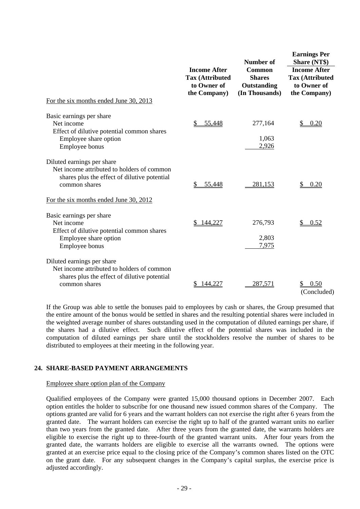|                                                                                                                                           |                                                                              | Number of                                                | <b>Earnings Per</b><br>Share (NT\$)                                          |  |
|-------------------------------------------------------------------------------------------------------------------------------------------|------------------------------------------------------------------------------|----------------------------------------------------------|------------------------------------------------------------------------------|--|
|                                                                                                                                           | <b>Income After</b><br><b>Tax (Attributed</b><br>to Owner of<br>the Company) | Common<br><b>Shares</b><br>Outstanding<br>(In Thousands) | <b>Income After</b><br><b>Tax (Attributed</b><br>to Owner of<br>the Company) |  |
| For the six months ended June 30, 2013                                                                                                    |                                                                              |                                                          |                                                                              |  |
| Basic earnings per share<br>Net income<br>Effect of dilutive potential common shares<br>Employee share option<br>Employee bonus           | 55,448                                                                       | 277,164<br>1,063<br>2,926                                | 0.20                                                                         |  |
| Diluted earnings per share<br>Net income attributed to holders of common<br>shares plus the effect of dilutive potential<br>common shares | 55,448                                                                       | 281,153                                                  | 0.20                                                                         |  |
| For the six months ended June 30, 2012                                                                                                    |                                                                              |                                                          |                                                                              |  |
| Basic earnings per share<br>Net income<br>Effect of dilutive potential common shares<br>Employee share option<br>Employee bonus           | 144,227                                                                      | 276,793<br>2,803<br>7,975                                | 0.52<br>\$                                                                   |  |
| Diluted earnings per share<br>Net income attributed to holders of common<br>shares plus the effect of dilutive potential<br>common shares | 144,227                                                                      | 287,571                                                  | 0.50<br>(Concluded)                                                          |  |

If the Group was able to settle the bonuses paid to employees by cash or shares, the Group presumed that the entire amount of the bonus would be settled in shares and the resulting potential shares were included in the weighted average number of shares outstanding used in the computation of diluted earnings per share, if the shares had a dilutive effect. Such dilutive effect of the potential shares was included in the computation of diluted earnings per share until the stockholders resolve the number of shares to be distributed to employees at their meeting in the following year.

#### **24. SHARE-BASED PAYMENT ARRANGEMENTS**

#### Employee share option plan of the Company

Qualified employees of the Company were granted 15,000 thousand options in December 2007. Each option entitles the holder to subscribe for one thousand new issued common shares of the Company. The options granted are valid for 6 years and the warrant holders can not exercise the right after 6 years from the granted date. The warrant holders can exercise the right up to half of the granted warrant units no earlier than two years from the granted date. After three years from the granted date, the warrants holders are eligible to exercise the right up to three-fourth of the granted warrant units. After four years from the granted date, the warrants holders are eligible to exercise all the warrants owned. The options were granted at an exercise price equal to the closing price of the Company's common shares listed on the OTC on the grant date. For any subsequent changes in the Company's capital surplus, the exercise price is adjusted accordingly.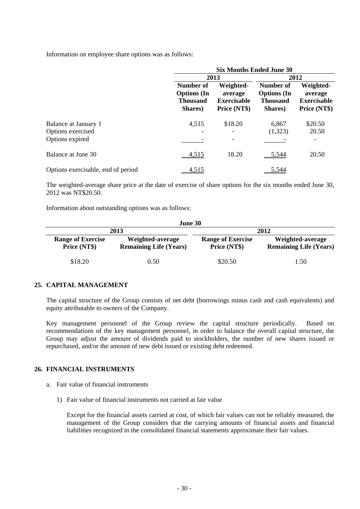Information on employee share options was as follows:

|                                    | <b>Six Months Ended June 30</b>                               |                                                            |                                                               |                                                            |
|------------------------------------|---------------------------------------------------------------|------------------------------------------------------------|---------------------------------------------------------------|------------------------------------------------------------|
|                                    |                                                               | 2013                                                       |                                                               | 2012                                                       |
|                                    | Number of<br><b>Options</b> (In<br><b>Thousand</b><br>Shares) | Weighted-<br>average<br><b>Exercisable</b><br>Price (NT\$) | Number of<br><b>Options</b> (In<br><b>Thousand</b><br>Shares) | Weighted-<br>average<br><b>Exercisable</b><br>Price (NT\$) |
| Balance at January 1               | 4,515                                                         | \$18.20                                                    | 6,867                                                         | \$20.50                                                    |
| Options exercised                  |                                                               |                                                            | (1,323)                                                       | 20.50                                                      |
| Options expired                    |                                                               |                                                            |                                                               |                                                            |
| Balance at June 30                 | 4,515                                                         | 18.20                                                      | 5,544                                                         | 20.50                                                      |
| Options exercisable, end of period | 4,515                                                         |                                                            | 5.544                                                         |                                                            |

The weighted-average share price at the date of exercise of share options for the six months ended June 30, 2012 was NT\$20.50.

Information about outstanding options was as follows:

| <b>June 30</b>                           |                                                   |                                          |                                                   |  |  |
|------------------------------------------|---------------------------------------------------|------------------------------------------|---------------------------------------------------|--|--|
|                                          | 2013                                              |                                          | 2012                                              |  |  |
| <b>Range of Exercise</b><br>Price (NT\$) | Weighted-average<br><b>Remaining Life (Years)</b> | <b>Range of Exercise</b><br>Price (NT\$) | Weighted-average<br><b>Remaining Life (Years)</b> |  |  |
| \$18.20                                  | 0.50                                              | \$20.50                                  | 1.50                                              |  |  |

#### **25. CAPITAL MANAGEMENT**

The capital structure of the Group consists of net debt (borrowings minus cash and cash equivalents) and equity attributable to owners of the Company.

Key management personnel of the Group review the capital structure periodically. Based on recommendations of the key management personnel, in order to balance the overall capital structure, the Group may adjust the amount of dividends paid to stockholders, the number of new shares issued or repurchased, and/or the amount of new debt issued or existing debt redeemed.

#### **26. FINANCIAL INSTRUMENTS**

- a. Fair value of financial instruments
	- 1) Fair value of financial instruments not carried at fair value

Except for the financial assets carried at cost, of which fair values can not be reliably measured, the management of the Group considers that the carrying amounts of financial assets and financial liabilities recognized in the consolidated financial statements approximate their fair values.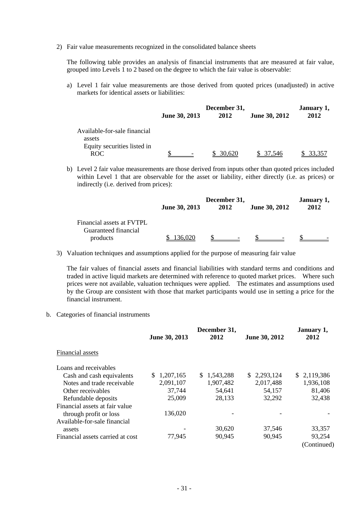2) Fair value measurements recognized in the consolidated balance sheets

The following table provides an analysis of financial instruments that are measured at fair value, grouped into Levels 1 to 2 based on the degree to which the fair value is observable:

a) Level 1 fair value measurements are those derived from quoted prices (unadjusted) in active markets for identical assets or liabilities:

|                                        | June 30, 2013 | December 31,<br>2012 | <b>June 30, 2012</b> | January 1,<br>2012 |
|----------------------------------------|---------------|----------------------|----------------------|--------------------|
|                                        |               |                      |                      |                    |
| Available-for-sale financial<br>assets |               |                      |                      |                    |
| Equity securities listed in<br>ROC.    |               | 30.620               | 37 546               |                    |

b) Level 2 fair value measurements are those derived from inputs other than quoted prices included within Level 1 that are observable for the asset or liability, either directly (i.e. as prices) or indirectly (i.e. derived from prices):

|                           | December 31,  |      |                          | January 1, |  |
|---------------------------|---------------|------|--------------------------|------------|--|
|                           | June 30, 2013 | 2012 | June 30, 2012            | 2012       |  |
| Financial assets at FVTPL |               |      |                          |            |  |
| Guaranteed financial      |               |      |                          |            |  |
| products                  |               |      | $\overline{\phantom{0}}$ |            |  |

3) Valuation techniques and assumptions applied for the purpose of measuring fair value

The fair values of financial assets and financial liabilities with standard terms and conditions and traded in active liquid markets are determined with reference to quoted market prices. Where such prices were not available, valuation techniques were applied. The estimates and assumptions used by the Group are consistent with those that market participants would use in setting a price for the financial instrument.

b. Categories of financial instruments

|                                  | December 31,     |             | January 1,    |             |
|----------------------------------|------------------|-------------|---------------|-------------|
|                                  | June 30, 2013    | 2012        | June 30, 2012 | 2012        |
| Financial assets                 |                  |             |               |             |
| Loans and receivables            |                  |             |               |             |
| Cash and cash equivalents        | 1,207,165<br>\$. | \$1,543,288 | \$2,293,124   | \$2,119,386 |
| Notes and trade receivable.      | 2,091,107        | 1,907,482   | 2,017,488     | 1,936,108   |
| Other receivables                | 37,744           | 54,641      | 54,157        | 81,406      |
| Refundable deposits              | 25,009           | 28,133      | 32,292        | 32,438      |
| Financial assets at fair value   |                  |             |               |             |
| through profit or loss           | 136,020          |             |               |             |
| Available-for-sale financial     |                  |             |               |             |
| assets                           |                  | 30,620      | 37,546        | 33,357      |
| Financial assets carried at cost | 77,945           | 90,945      | 90,945        | 93,254      |
|                                  |                  |             |               | (Continued) |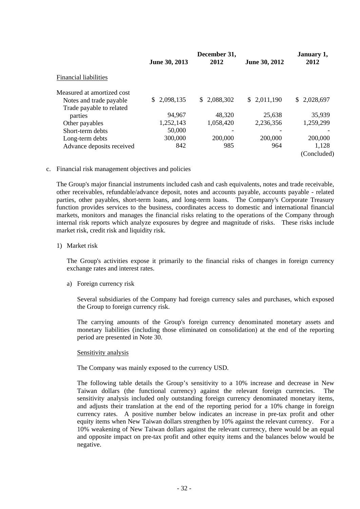|                            | June 30, 2013 | December 31,<br>2012 | June 30, 2012 | January 1,<br>2012 |
|----------------------------|---------------|----------------------|---------------|--------------------|
| Financial liabilities      |               |                      |               |                    |
| Measured at amortized cost |               |                      |               |                    |
| Notes and trade payable    | \$2,098,135   | \$2,088,302          | \$2,011,190   | \$2,028,697        |
| Trade payable to related   |               |                      |               |                    |
| parties                    | 94,967        | 48,320               | 25,638        | 35,939             |
| Other payables             | 1,252,143     | 1,058,420            | 2,236,356     | 1,259,299          |
| Short-term debts           | 50,000        | -                    |               |                    |
| Long-term debts            | 300,000       | 200,000              | 200,000       | 200,000            |
| Advance deposits received  | 842           | 985                  | 964           | 1,128              |
|                            |               |                      |               | (Concluded)        |

c. Financial risk management objectives and policies

The Group's major financial instruments included cash and cash equivalents, notes and trade receivable, other receivables, refundable/advance deposit, notes and accounts payable, accounts payable - related parties, other payables, short-term loans, and long-term loans. The Company's Corporate Treasury function provides services to the business, coordinates access to domestic and international financial markets, monitors and manages the financial risks relating to the operations of the Company through internal risk reports which analyze exposures by degree and magnitude of risks. These risks include market risk, credit risk and liquidity risk.

1) Market risk

The Group's activities expose it primarily to the financial risks of changes in foreign currency exchange rates and interest rates.

a) Foreign currency risk

Several subsidiaries of the Company had foreign currency sales and purchases, which exposed the Group to foreign currency risk.

The carrying amounts of the Group's foreign currency denominated monetary assets and monetary liabilities (including those eliminated on consolidation) at the end of the reporting period are presented in Note 30.

#### Sensitivity analysis

The Company was mainly exposed to the currency USD.

The following table details the Group's sensitivity to a 10% increase and decrease in New Taiwan dollars (the functional currency) against the relevant foreign currencies. The sensitivity analysis included only outstanding foreign currency denominated monetary items, and adjusts their translation at the end of the reporting period for a 10% change in foreign currency rates. A positive number below indicates an increase in pre-tax profit and other equity items when New Taiwan dollars strengthen by 10% against the relevant currency. For a 10% weakening of New Taiwan dollars against the relevant currency, there would be an equal and opposite impact on pre-tax profit and other equity items and the balances below would be negative.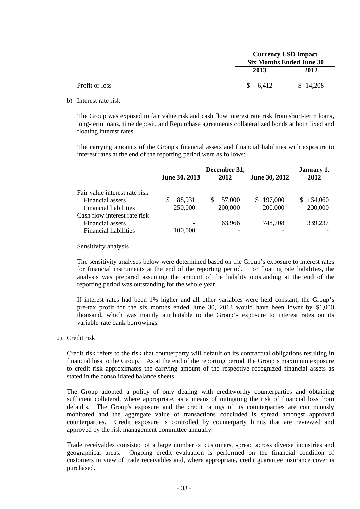|                |         | <b>Currency USD Impact</b><br><b>Six Months Ended June 30</b> |  |  |  |
|----------------|---------|---------------------------------------------------------------|--|--|--|
|                |         |                                                               |  |  |  |
|                | 2013    | 2012                                                          |  |  |  |
| Profit or loss | \$6,412 | \$14,208                                                      |  |  |  |

b) Interest rate risk

The Group was exposed to fair value risk and cash flow interest rate risk from short-term loans, long-term loans, time deposit, and Repurchase agreements collateralized bonds at both fixed and floating interest rates.

The carrying amounts of the Group's financial assets and financial liabilities with exposure to interest rates at the end of the reporting period were as follows:

|                               | June 30, 2013 | December 31,<br>2012 | June 30, 2012 | January 1,<br>2012 |
|-------------------------------|---------------|----------------------|---------------|--------------------|
| Fair value interest rate risk |               |                      |               |                    |
| Financial assets              | 88,931        | 57,000<br>S          | \$197,000     | 164,060<br>S.      |
| Financial liabilities         | 250,000       | 200,000              | 200,000       | 200,000            |
| Cash flow interest rate risk  |               |                      |               |                    |
| Financial assets              |               | 63.966               | 748,708       | 339,237            |
| Financial liabilities         | 100,000       |                      |               |                    |

#### Sensitivity analysis

The sensitivity analyses below were determined based on the Group's exposure to interest rates for financial instruments at the end of the reporting period. For floating rate liabilities, the analysis was prepared assuming the amount of the liability outstanding at the end of the reporting period was outstanding for the whole year.

If interest rates had been 1% higher and all other variables were held constant, the Group's pre-tax profit for the six months ended June 30, 2013 would have been lower by \$1,000 thousand, which was mainly attributable to the Group's exposure to interest rates on its variable-rate bank borrowings.

#### 2) Credit risk

Credit risk refers to the risk that counterparty will default on its contractual obligations resulting in financial loss to the Group. As at the end of the reporting period, the Group's maximum exposure to credit risk approximates the carrying amount of the respective recognized financial assets as stated in the consolidated balance sheets.

The Group adopted a policy of only dealing with creditworthy counterparties and obtaining sufficient collateral, where appropriate, as a means of mitigating the risk of financial loss from defaults. The Group's exposure and the credit ratings of its counterparties are continuously monitored and the aggregate value of transactions concluded is spread amongst approved counterparties. Credit exposure is controlled by counterparty limits that are reviewed and approved by the risk management committee annually.

Trade receivables consisted of a large number of customers, spread across diverse industries and geographical areas. Ongoing credit evaluation is performed on the financial condition of customers in view of trade receivables and, where appropriate, credit guarantee insurance cover is purchased.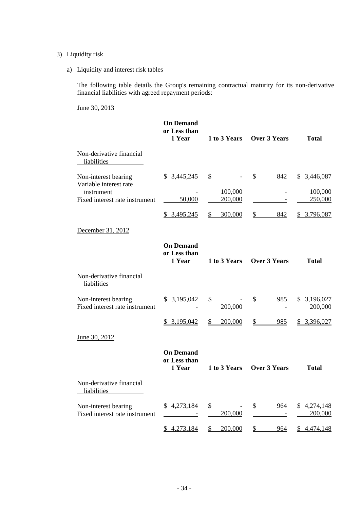### 3) Liquidity risk

a) Liquidity and interest risk tables

The following table details the Group's remaining contractual maturity for its non-derivative financial liabilities with agreed repayment periods:

June 30, 2013

|                                                        | <b>On Demand</b><br>or Less than<br>1 Year       | 1 to 3 Years             | <b>Over 3 Years</b>             | <b>Total</b>                |
|--------------------------------------------------------|--------------------------------------------------|--------------------------|---------------------------------|-----------------------------|
| Non-derivative financial<br>liabilities                |                                                  |                          |                                 |                             |
| Non-interest bearing<br>Variable interest rate         | \$3,445,245                                      | $\mathcal{S}$            | $\mathcal{S}$<br>842            | \$3,446,087                 |
| instrument<br>Fixed interest rate instrument           | 50,000                                           | 100,000<br>200,000       | $\overline{\phantom{a}}$        | 100,000<br>250,000          |
|                                                        | \$ 3,495,245                                     | 300,000<br>\$            | 842<br>S                        | \$3,796,087                 |
| December 31, 2012                                      |                                                  |                          |                                 |                             |
|                                                        | <b>On Demand</b><br>or Less than<br>1 Year       | 1 to 3 Years             | <b>Over 3 Years</b>             | <b>Total</b>                |
| Non-derivative financial<br>liabilities                |                                                  |                          |                                 |                             |
| Non-interest bearing<br>Fixed interest rate instrument | \$3,195,042<br>$\sim 10^{11}$ and $\sim 10^{11}$ | \$<br>200,000            | \$<br>985<br>$\sim$ $-$         | 3,196,027<br>\$.<br>200,000 |
|                                                        | \$3,195,042                                      | \$<br>200,000            | $\mathbb{S}$<br>985             | \$3,396,027                 |
| June 30, 2012                                          |                                                  |                          |                                 |                             |
|                                                        | <b>On Demand</b><br>or Less than<br>1 Year       | 1 to 3 Years             | <b>Over 3 Years</b>             | <b>Total</b>                |
| Non-derivative financial<br>liabilities                |                                                  |                          |                                 |                             |
| Non-interest bearing<br>Fixed interest rate instrument | \$4,273,184                                      | \$<br>200,000            | \$<br>964                       | \$4,274,148<br>200,000      |
|                                                        | \$4,273,184                                      | $\frac{1}{2}$<br>200,000 | $\overline{\mathcal{L}}$<br>964 | \$4,474,148                 |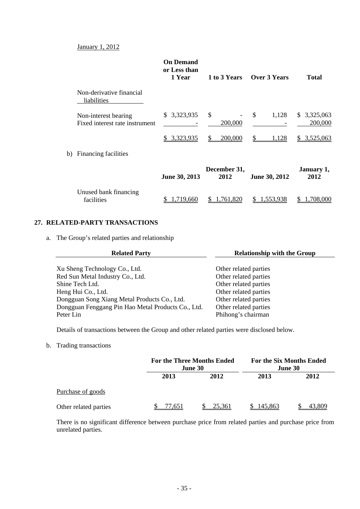#### January 1, 2012

|                                                        | <b>On Demand</b><br>or Less than<br>1 Year | 1 to 3 Years         | Over 3 Years  | <b>Total</b>               |
|--------------------------------------------------------|--------------------------------------------|----------------------|---------------|----------------------------|
| Non-derivative financial<br>liabilities                |                                            |                      |               |                            |
| Non-interest bearing<br>Fixed interest rate instrument | \$3,323,935                                | \$<br>200,000        | \$<br>1,128   | 3,325,063<br>S.<br>200,000 |
|                                                        | 3,323,935<br>S.                            | 200,000<br>\$.       | S<br>1,128    | 3,525,063<br>S.            |
| b) Financing facilities                                |                                            |                      |               |                            |
|                                                        | June 30, 2013                              | December 31,<br>2012 | June 30, 2012 | January 1,<br>2012         |
| Unused bank financing<br>facilities                    | .719,660                                   | 1,761,820            | 1,553,938     | 1,708,000                  |

#### **27. RELATED-PARTY TRANSACTIONS**

a. The Group's related parties and relationship

| <b>Related Party</b>                               | <b>Relationship with the Group</b> |  |  |
|----------------------------------------------------|------------------------------------|--|--|
|                                                    |                                    |  |  |
| Xu Sheng Technology Co., Ltd.                      | Other related parties              |  |  |
| Red Sun Metal Industry Co., Ltd.                   | Other related parties              |  |  |
| Shine Tech Ltd.                                    | Other related parties              |  |  |
| Heng Hui Co., Ltd.                                 | Other related parties              |  |  |
| Dongguan Song Xiang Metal Products Co., Ltd.       | Other related parties              |  |  |
| Dongguan Fenggang Pin Hao Metal Products Co., Ltd. | Other related parties              |  |  |
| Peter Lin                                          | Phihong's chairman                 |  |  |

Details of transactions between the Group and other related parties were disclosed below.

#### b. Trading transactions

|                       |        | <b>For the Three Months Ended</b><br><b>June 30</b> |         | <b>For the Six Months Ended</b><br>June 30 |
|-----------------------|--------|-----------------------------------------------------|---------|--------------------------------------------|
|                       | 2013   | 2012                                                | 2013    | 2012                                       |
| Purchase of goods     |        |                                                     |         |                                            |
| Other related parties | 77.651 | 25.361                                              | 145.863 | 43,809                                     |

There is no significant difference between purchase price from related parties and purchase price from unrelated parties.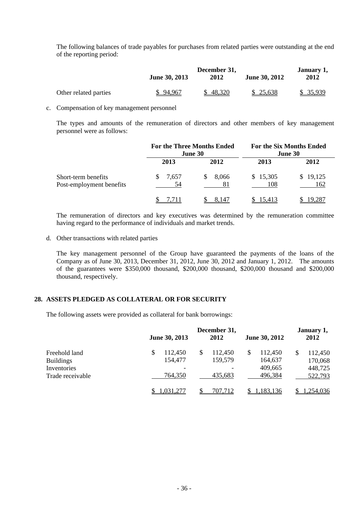The following balances of trade payables for purchases from related parties were outstanding at the end of the reporting period:

|                       | <b>June 30, 2013</b> | December 31,<br>2012 | June 30, 2012 | January 1,<br>2012 |
|-----------------------|----------------------|----------------------|---------------|--------------------|
| Other related parties | \$94,967             | 48,320               | \$25,638      | \$ 35,939          |

c. Compensation of key management personnel

The types and amounts of the remuneration of directors and other members of key management personnel were as follows:

|                                                 |             | <b>For the Three Months Ended</b><br>June 30 |                 | <b>For the Six Months Ended</b><br><b>June 30</b> |
|-------------------------------------------------|-------------|----------------------------------------------|-----------------|---------------------------------------------------|
|                                                 | 2013        | 2012                                         | 2013            | 2012                                              |
| Short-term benefits<br>Post-employment benefits | 7,657<br>54 | 8,066<br>S.<br>81                            | \$15,305<br>108 | \$19,125<br>162                                   |
|                                                 |             | 8,147                                        | 15,413          | 19,287                                            |

The remuneration of directors and key executives was determined by the remuneration committee having regard to the performance of individuals and market trends.

d. Other transactions with related parties

The key management personnel of the Group have guaranteed the payments of the loans of the Company as of June 30, 2013, December 31, 2012, June 30, 2012 and January 1, 2012. The amounts of the guarantees were \$350,000 thousand, \$200,000 thousand, \$200,000 thousand and \$200,000 thousand, respectively.

#### **28. ASSETS PLEDGED AS COLLATERAL OR FOR SECURITY**

The following assets were provided as collateral for bank borrowings:

|                                                  | June 30, 2013                                        | December 31,<br>2012     | June 30, 2012                 | January 1,<br>2012                  |
|--------------------------------------------------|------------------------------------------------------|--------------------------|-------------------------------|-------------------------------------|
| Freehold land<br><b>Buildings</b><br>Inventories | \$<br>112,450<br>154,477<br>$\overline{\phantom{a}}$ | 112,450<br>\$<br>159,579 | 112,450<br>164,637<br>409,665 | 112,450<br>\$<br>170,068<br>448,725 |
| Trade receivable                                 | 764,350<br>.031.277                                  | 435,683<br>707.712       | 496,384<br>l.183.136          | 522,793<br>.254,036                 |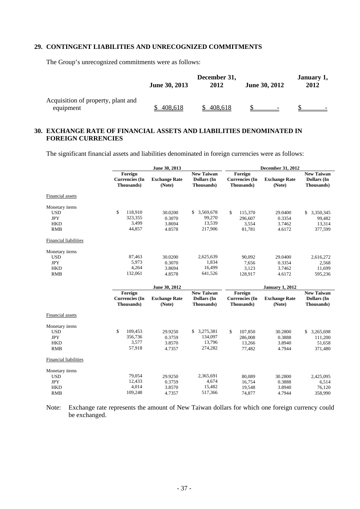#### **29. CONTINGENT LIABILITIES AND UNRECOGNIZED COMMITMENTS**

The Group's unrecognized commitments were as follows:

|                                                 | June 30, 2013 | December 31,<br>2012 | <b>June 30, 2012</b> | January 1,<br>2012 |  |
|-------------------------------------------------|---------------|----------------------|----------------------|--------------------|--|
| Acquisition of property, plant and<br>equipment | 408,618       | 408,618              |                      |                    |  |

### **30. EXCHANGE RATE OF FINANCIAL ASSETS AND LIABILITIES DENOMINATED IN FOREIGN CURRENCIES**

The significant financial assets and liabilities denominated in foreign currencies were as follows:

|                                                                        | June 30, 2013                                  |                                       |                                                       | <b>December 31, 2012</b>                       |                                       |                                                       |  |
|------------------------------------------------------------------------|------------------------------------------------|---------------------------------------|-------------------------------------------------------|------------------------------------------------|---------------------------------------|-------------------------------------------------------|--|
|                                                                        | Foreign<br><b>Currencies</b> (In<br>Thousands) | <b>Exchange Rate</b><br>(Note)        | <b>New Taiwan</b><br><b>Dollars</b> (In<br>Thousands) | Foreign<br><b>Currencies</b> (In<br>Thousands) | <b>Exchange Rate</b><br>(Note)        | <b>New Taiwan</b><br><b>Dollars</b> (In<br>Thousands) |  |
| Financial assets                                                       |                                                |                                       |                                                       |                                                |                                       |                                                       |  |
| Monetary items<br><b>USD</b><br><b>JPY</b><br><b>HKD</b><br><b>RMB</b> | \$<br>118,910<br>323,355<br>3,499<br>44,857    | 30.0200<br>0.3070<br>3.8694<br>4.8578 | \$<br>3,569,678<br>99,270<br>13,539<br>217,906        | \$<br>115,370<br>296,607<br>3,554<br>81,781    | 29.0400<br>0.3354<br>3.7462<br>4.6172 | \$<br>3,350,345<br>99,482<br>13,314<br>377,599        |  |
| <b>Financial liabilities</b>                                           |                                                |                                       |                                                       |                                                |                                       |                                                       |  |
| Monetary items<br><b>USD</b><br><b>JPY</b><br><b>HKD</b><br><b>RMB</b> | 87,463<br>5,973<br>4,264<br>132,061            | 30.0200<br>0.3070<br>3.8694<br>4.8578 | 2,625,639<br>1,834<br>16,499<br>641,526               | 90.092<br>7,656<br>3,123<br>128,917            | 29.0400<br>0.3354<br>3.7462<br>4.6172 | 2,616,272<br>2,568<br>11,699<br>595,236               |  |
|                                                                        |                                                |                                       |                                                       |                                                |                                       |                                                       |  |
|                                                                        |                                                | June 30, 2012                         |                                                       |                                                | <b>January 1, 2012</b>                |                                                       |  |
|                                                                        | Foreign<br><b>Currencies</b> (In<br>Thousands) | <b>Exchange Rate</b><br>(Note)        | <b>New Taiwan</b><br>Dollars (In<br>Thousands)        | Foreign<br><b>Currencies</b> (In<br>Thousands) | <b>Exchange Rate</b><br>(Note)        | <b>New Taiwan</b><br>Dollars (In<br>Thousands)        |  |
| Financial assets                                                       |                                                |                                       |                                                       |                                                |                                       |                                                       |  |
| Monetary items<br><b>USD</b><br><b>JPY</b><br><b>HKD</b><br><b>RMB</b> | \$<br>109,453<br>356,736<br>3,577<br>57,918    | 29.9250<br>0.3759<br>3.8570<br>4.7357 | \$3,275,381<br>134,097<br>13,796<br>274,282           | \$<br>107,850<br>286,008<br>13,266<br>77,482   | 30.2800<br>0.3888<br>3.8940<br>4.7944 | 3,265,698<br>\$<br>111,200<br>51,658<br>371,480       |  |
| <b>Financial liabilities</b>                                           |                                                |                                       |                                                       |                                                |                                       |                                                       |  |

Note: Exchange rate represents the amount of New Taiwan dollars for which one foreign currency could be exchanged.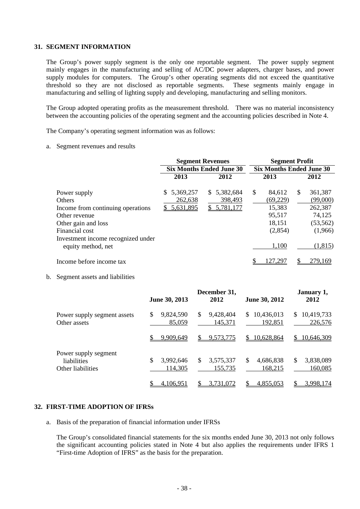#### **31. SEGMENT INFORMATION**

The Group's power supply segment is the only one reportable segment. The power supply segment mainly engages in the manufacturing and selling of AC/DC power adapters, charger bases, and power supply modules for computers. The Group's other operating segments did not exceed the quantitative threshold so they are not disclosed as reportable segments. These segments mainly engage in manufacturing and selling of lighting supply and developing, manufacturing and selling monitors.

The Group adopted operating profits as the measurement threshold. There was no material inconsistency between the accounting policies of the operating segment and the accounting policies described in Note 4.

The Company's operating segment information was as follows:

a. Segment revenues and results

|                                                          | <b>Segment Revenues</b>         | <b>Segment Profit</b> |     |                                 |   |           |  |
|----------------------------------------------------------|---------------------------------|-----------------------|-----|---------------------------------|---|-----------|--|
|                                                          | <b>Six Months Ended June 30</b> |                       |     | <b>Six Months Ended June 30</b> |   |           |  |
|                                                          | 2013                            | 2012                  |     | 2013                            |   | 2012      |  |
| Power supply                                             | 5,369,257<br>\$.                | \$5,382,684           | \$. | 84,612                          | S | 361,387   |  |
| <b>Others</b>                                            | 262,638                         | 398,493               |     | (69, 229)                       |   | (99,000)  |  |
| Income from continuing operations                        | 5,631,895                       | \$5,781,177           |     | 15,383                          |   | 262,387   |  |
| Other revenue                                            |                                 |                       |     | 95,517                          |   | 74,125    |  |
| Other gain and loss                                      |                                 |                       |     | 18,151                          |   | (53, 562) |  |
| Financial cost                                           |                                 |                       |     | (2,854)                         |   | (1,966)   |  |
| Investment income recognized under<br>equity method, net |                                 |                       |     | 1,100                           |   | (1, 815)  |  |
| Income before income tax                                 |                                 |                       |     | 127,29′                         |   | 279,169   |  |

b. Segment assets and liabilities

|                                                          | June 30, 2013              | December 31,<br>2012       | <b>June 30, 2012</b>         | January 1,<br>2012           |
|----------------------------------------------------------|----------------------------|----------------------------|------------------------------|------------------------------|
| Power supply segment assets<br>Other assets              | 9,824,590<br>\$<br>85,059  | 9,428,404<br>\$<br>145,371 | 10,436,013<br>\$.<br>192,851 | 10,419,733<br>\$.<br>226,576 |
|                                                          | 9,909,649                  | 9,573,775<br>S             | 10,628,864<br>S.             | 10,646,309<br>\$.            |
| Power supply segment<br>liabilities<br>Other liabilities | \$<br>3,992,646<br>114,305 | \$<br>3,575,337<br>155,735 | \$<br>4,686,838<br>168,215   | 3,838,089<br>\$<br>160,085   |
|                                                          | 4,106,951                  | 3,731,072                  | 4,855,053                    | 3,998,174                    |

#### **32. FIRST-TIME ADOPTION OF IFRSs**

a. Basis of the preparation of financial information under IFRSs

The Group's consolidated financial statements for the six months ended June 30, 2013 not only follows the significant accounting policies stated in Note 4 but also applies the requirements under IFRS 1 "First-time Adoption of IFRS" as the basis for the preparation.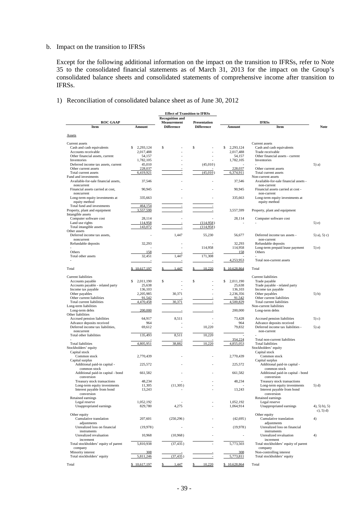#### b. Impact on the transition to IFRSs

Except for the following additional information on the impact on the transition to IFRSs, refer to Note 35 to the consolidated financial statements as of March 31, 2013 for the impact on the Group's consolidated balance sheets and consolidated statements of comprehensive income after transition to IFRSs.

1) Reconciliation of consolidated balance sheet as of June 30, 2012

|                                                        |                     | <b>Effect of Transition to IFRSs</b> |                     |                              |                                                        |                    |
|--------------------------------------------------------|---------------------|--------------------------------------|---------------------|------------------------------|--------------------------------------------------------|--------------------|
|                                                        |                     | <b>Recognition and</b>               |                     |                              |                                                        |                    |
| <b>ROC GAAP</b>                                        |                     | <b>Measurement</b>                   | <b>Presentation</b> |                              | <b>IFRSs</b>                                           |                    |
| Item                                                   | Amount              | <b>Difference</b>                    | <b>Difference</b>   | Amount                       | Item                                                   | <b>Note</b>        |
| <b>Assets</b>                                          |                     |                                      |                     |                              |                                                        |                    |
|                                                        |                     |                                      |                     |                              |                                                        |                    |
| Current assets                                         |                     |                                      |                     |                              | Current assets                                         |                    |
| Cash and cash equivalents                              | S<br>2,293,124      | \$                                   | \$<br>÷,            | \$<br>2,293,124<br>2,017,488 | Cash and cash equivalents<br>Trade receivable          |                    |
| Accounts receivable<br>Other financial assets, current | 2,017,488<br>54,157 |                                      |                     | 54,157                       | Other financial assets - current                       |                    |
| Inventories                                            | 1,782,105           |                                      |                     | 1,782,105                    | Inventories                                            |                    |
| Deferred income tax assets, current                    | 45,010              |                                      | (45,010)            |                              |                                                        | $5)$ a)            |
| Other current assets                                   | 228,037             |                                      |                     | 228,037                      | Other current assets                                   |                    |
| Total current assets                                   | 6,419,921           |                                      | (45,010)            | 6,374,911                    | Total current assets                                   |                    |
| Fund and investments                                   |                     |                                      |                     |                              | Non-current assets                                     |                    |
| Available-for-sale financial assets,                   | 37,546              |                                      |                     | 37,546                       | Available-for-sale financial assets -                  |                    |
| noncurrent                                             |                     |                                      |                     |                              | non-current                                            |                    |
| Financial assets carried at cost,<br>noncurrent        | 90,945              |                                      |                     | 90,945                       | Financial assets carried at cost -<br>non-current      |                    |
| Long-term equity investments at                        | 335,663             |                                      |                     | 335,663                      | Long-term equity investments at                        |                    |
| equity method                                          |                     |                                      |                     |                              | equity method                                          |                    |
| Total fund and investments                             | 464,154             |                                      |                     |                              |                                                        |                    |
| Property, plant and equipment                          | 3,557,599           |                                      |                     | 3,557,599                    | Property, plant and equipment                          |                    |
| Intangible assets                                      |                     |                                      |                     |                              |                                                        |                    |
| Computer software cost                                 | 28,114              |                                      |                     | 28,114                       | Computer software cost                                 |                    |
| Land use rights                                        | 114,958             |                                      | (114,958)           |                              |                                                        | $5)$ e)            |
| Total intangible assets                                | 143,072             |                                      | (114,958)           |                              |                                                        |                    |
| Other assets                                           |                     |                                      |                     |                              |                                                        |                    |
| Deferred income tax assets,                            |                     | 1,447                                | 55,230              | 56,677                       | Deferred income tax assets -                           | $(5)$ a), $(5)$ c) |
| noncurrent                                             |                     |                                      |                     |                              | non-current                                            |                    |
| Refundable deposits                                    | 32,293              |                                      |                     | 32,293                       | Refundable deposits                                    |                    |
| Others                                                 | 158                 |                                      | 114,958             | 114,958<br>158               | Long-term prepaid lease payment<br>Others              | $(5)$ e)           |
| Total other assets                                     | 32,451              | 1,447                                | 171,308             |                              |                                                        |                    |
|                                                        |                     |                                      |                     | 4,253,953                    | Total non-current assets                               |                    |
|                                                        |                     |                                      |                     |                              |                                                        |                    |
| Total                                                  | \$10,617,197        | 1,447                                | 10.220              | \$10,628,864                 | Total                                                  |                    |
|                                                        |                     |                                      |                     |                              |                                                        |                    |
| <b>Current liabilities</b>                             |                     |                                      |                     |                              | <b>Current liabilities</b>                             |                    |
| Accounts payable                                       | \$<br>2.011.190     | \$                                   | \$                  | \$<br>2,011,190              | Trade payable                                          |                    |
| Accounts payable - related party                       | 25,638              |                                      |                     | 25,638                       | Trade payable - related party                          |                    |
| Income tax payable                                     | 136,103             |                                      |                     | 136,103                      | Income tax payable                                     |                    |
| Other payables                                         | 2,205,985           | 30,371                               |                     | 2,236,356                    | Other payables                                         | $(5)$ b)           |
| Other current liabilities<br>Total current liabilities | 91,542<br>4,470,458 | 30,371                               |                     | 91,542<br>4,500,829          | Other current liabilities<br>Total current liabilities |                    |
| Long-term liabilities                                  |                     |                                      |                     |                              | Non-current liabilities                                |                    |
| Long-term debts                                        | 200,000             |                                      |                     | 200,000                      | Long-term debts                                        |                    |
| Other liabilities                                      |                     |                                      |                     |                              |                                                        |                    |
| Accrued pension liabilities                            | 64,917              | 8,511                                |                     | 73,428                       | Accrued pension liabilities                            | $(5)$ c)           |
| Advance deposits received                              | 964                 |                                      |                     | 964                          | Advance deposits received                              |                    |
| Deferred income tax liabilities,                       | 69,612              |                                      | 10,220              | 79,832                       | Deferred income tax liabilities -                      | 5) a)              |
| noncurrent                                             |                     |                                      |                     |                              | non-current                                            |                    |
| Total other liabilities                                | 135,493             | 8,511                                | 10,220              |                              |                                                        |                    |
|                                                        |                     |                                      |                     | 354,224                      | Total non-current liabilities                          |                    |
| <b>Total liabilities</b><br>Stockholders' equity       | 4,805,951           | 38,882                               | 10,220              | 4,855,053                    | <b>Total liabilities</b><br>Stockholders' equity       |                    |
| Capital stock                                          |                     |                                      |                     |                              | Capital stock                                          |                    |
| Common stock                                           | 2,770,439           |                                      |                     | 2,770,439                    | Common stock                                           |                    |
| Capital surplus                                        |                     |                                      |                     |                              | Capital surplus                                        |                    |
| Additional paid-in capital -                           | 225,572             |                                      |                     | 225,572                      | Additional paid-in capital -                           |                    |
| common stock                                           |                     |                                      |                     |                              | common stock                                           |                    |
| Additional paid-in capital - bond                      | 661,582             |                                      |                     | 661,582                      | Additional paid-in capital - bond                      |                    |
| conversion                                             |                     |                                      |                     |                              | conversion                                             |                    |
| Treasury stock transactions                            | 48,234              |                                      |                     | 48,234                       | Treasury stock transactions                            |                    |
| Long-term equity investments                           | 11,305              | (11,305)                             |                     |                              | Long-term equity investments                           | $(5)$ d)           |
| Interest payable from bond                             | 13,243              |                                      |                     | 13,243                       | Interest payable from bond                             |                    |
| conversion                                             |                     |                                      |                     |                              | conversion                                             |                    |
| Retained earnings<br>Legal reserve                     | 1,052,192           |                                      |                     | 1,052,192                    | Retained earnings<br>Legal reserve                     |                    |
| Unappropriated earnings                                | 829,780             | 4,275                                |                     | 1,064,914                    | Unappropriated earnings                                | $4, 5$ $b, 5$ $)$  |
|                                                        |                     |                                      |                     |                              |                                                        | $c)$ , 5) d)       |
| Other equity                                           |                     |                                      |                     |                              | Other equity                                           |                    |
| Cumulative translation                                 | 207,601             | (250, 296)                           |                     | (42, 695)                    | Cumulative translation                                 | 4)                 |
| adjustments                                            |                     |                                      |                     |                              | adjustments                                            |                    |
| Unrealized loss on financial                           | (19, 978)           |                                      |                     | (19, 978)                    | Unrealized loss on financial                           |                    |
| instruments                                            |                     |                                      |                     |                              | instruments                                            |                    |
| Unrealized revaluation                                 | 10,968              | (10,968)                             |                     | $\overline{\phantom{a}}$     | Unrealized revaluation                                 | 4)                 |
| increment                                              |                     |                                      |                     |                              | increment                                              |                    |
| Total stockholders' equity of parent                   | 5,810,938           | (37, 435)                            |                     | 5,773,503                    | Total stockholders' equity of parent                   |                    |
| company                                                |                     |                                      |                     |                              | company                                                |                    |
| Minority interest                                      | 308                 |                                      |                     | 308                          | Non-controlling interest                               |                    |
| Total stockholders' equity                             | 5,811,246           | (37, 435)                            |                     | 5,773,811                    | Total stockholders' equity                             |                    |
| Total                                                  | \$10,617,197        | \$<br>1,447                          | 10,220<br>\$        | \$10,628,864                 | Total                                                  |                    |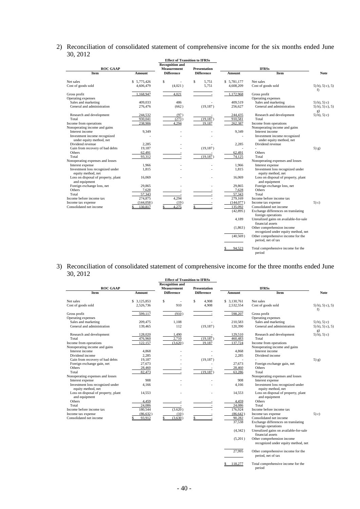#### 2) Reconciliation of consolidated statement of comprehensive income for the six months ended June 30, 2012

|                                                          | <b>Effect of Transition to IFRSs</b> |                          |                     |             |                                                                   |                                 |
|----------------------------------------------------------|--------------------------------------|--------------------------|---------------------|-------------|-------------------------------------------------------------------|---------------------------------|
|                                                          |                                      | <b>Recognition and</b>   |                     |             |                                                                   |                                 |
| <b>ROC GAAP</b>                                          |                                      | <b>Measurement</b>       | <b>Presentation</b> |             | <b>IFRSs</b>                                                      |                                 |
| <b>Item</b>                                              | Amount                               | <b>Difference</b>        | <b>Difference</b>   | Amount      | <b>Item</b>                                                       | <b>Note</b>                     |
| Net sales                                                | \$5,775,426                          | \$                       | Ŝ<br>5.751          | \$5,781,177 | Net sales                                                         |                                 |
| Cost of goods sold                                       | 4,606,479                            | (4,021)                  | 5,751               | 4,608,209   | Cost of goods sold                                                | $(5)$ b), $(5)$ c), $(5)$<br>f) |
| Gross profit<br>Operating expenses                       | 1,168,947                            | 4,021                    | $\sim$              | 1,172,968   | Gross profit<br>Operating expenses                                |                                 |
| Sales and marketing                                      | 409,033                              | 486                      | ÷,                  | 409,519     | Sales and marketing                                               | $(5)$ b), $(5)$ c)              |
| General and administration                               | 276,476                              | (662)                    | (19, 187)           | 256,627     | General and administration                                        | $(5)$ b), $(5)$ c), $(5)$<br>g) |
| Research and development                                 | 244,532                              | (97)                     |                     | 244,435     | Research and development                                          | $(5)$ b), $(5)$ c)              |
| Total                                                    | 930,041                              | (273)                    | (19, 187)           | 910,581     | Total                                                             |                                 |
| Income from operations                                   | 238,906                              | 4.294                    | 19.187              | 262,387     | Income from operations                                            |                                 |
| Nonoperating income and gains                            |                                      |                          |                     |             | Nonoperating income and gains                                     |                                 |
| Interest income                                          | 9,349                                |                          |                     | 9,349       | Interest income                                                   |                                 |
| Investment income recognized<br>under equity method, net |                                      |                          |                     |             | Investment income recognized<br>under equity method, net          |                                 |
| Dividend revenue                                         | 2,285                                |                          |                     | 2,285       | Dividend revenue                                                  |                                 |
| Gain from recovery of bad debts                          | 19,187                               |                          | (19, 187)           |             |                                                                   | $(5)$ g)                        |
| <b>Others</b>                                            | 62,491                               |                          | $\sim$              | 62,491      | Others                                                            |                                 |
| Total                                                    | 93,312                               |                          | (19, 187)           | 74,125      | Total                                                             |                                 |
| Nonoperating expenses and losses                         |                                      |                          |                     |             | Nonoperating expenses and losses                                  |                                 |
| Interest expense                                         | 1,966                                |                          | L,                  | 1,966       | Interest expense                                                  |                                 |
| Investment loss recognized under<br>equity method, net   | 1,815                                |                          |                     | 1,815       | Investment loss recognized under<br>equity method, net            |                                 |
| Loss on disposal of property, plant<br>and equipment     | 16,069                               |                          |                     | 16,069      | Loss on disposal of property, plant<br>and equipment              |                                 |
| Foreign exchange loss, net                               | 29,865                               |                          |                     | 29,865      | Foreign exchange loss, net                                        |                                 |
| Others                                                   | 7,628                                |                          |                     | 7,628       | Others                                                            |                                 |
| Total                                                    | 57,343                               | $\overline{\phantom{a}}$ |                     | 57.343      | Total                                                             |                                 |
| Income before income tax                                 | 274,875                              | 4,294                    |                     | 279,169     | Income before income tax                                          |                                 |
| Income tax expense                                       | (144, 058)                           | (19)                     |                     | (144, 077)  | Income tax expense                                                | (5) c)                          |
| Consolidated net income                                  | 130,817                              | 4.275                    |                     | 135,092     | Consolidated net income                                           |                                 |
|                                                          |                                      |                          |                     | (42,895)    | Exchange differences on translating<br>foreign operations         |                                 |
|                                                          |                                      |                          |                     | 4,189       | Unrealized gains on available-for-sale<br>financial assets        |                                 |
|                                                          |                                      |                          |                     | (1, 863)    | Other comprehension income<br>recognized under equity method, net |                                 |
|                                                          |                                      |                          |                     | (40, 569)   | Other comprehensive income for the                                |                                 |
|                                                          |                                      |                          |                     |             | period, net of tax                                                |                                 |
|                                                          |                                      |                          |                     | 94.523      | Total comprehensive income for the<br>period                      |                                 |

#### 3) Reconciliation of consolidated statement of comprehensive income for the three months ended June 30, 2012

|                                                        |              | <b>Effect of Transition to IFRSs</b> |                          |              |                                                                   |                                 |
|--------------------------------------------------------|--------------|--------------------------------------|--------------------------|--------------|-------------------------------------------------------------------|---------------------------------|
|                                                        |              | <b>Recognition and</b>               |                          |              |                                                                   |                                 |
| <b>ROC GAAP</b>                                        |              | <b>Measurement</b>                   | <b>Presentation</b>      |              |                                                                   |                                 |
| Item                                                   | Amount       | <b>Difference</b>                    | <b>Difference</b>        | Amount       | Item                                                              | <b>Note</b>                     |
| Net sales                                              | \$ 3,125,853 | \$<br>÷                              | Ŝ<br>4,908               | \$ 3,130,761 | Net sales                                                         |                                 |
| Cost of goods sold                                     | 2,526,736    | 910                                  | 4,908                    | 2,532,554    | Cost of goods sold                                                | $(5)$ b), $(5)$ c), $(5)$<br>f) |
| Gross profit                                           | 599.117      | (910)                                |                          | 598,207      | Gross profit                                                      |                                 |
| Operating expenses                                     |              |                                      |                          |              | Operating expenses                                                |                                 |
| Sales and marketing                                    | 209,475      | 1.108                                |                          | 210,583      | Sales and marketing                                               | $(5)$ b), $(5)$ c)              |
| General and administration                             | 139,465      | 112                                  | (19, 187)                | 120,390      | General and administration                                        | $(5)$ b), $(5)$ c), $(5)$<br>g) |
| Research and development                               | 128,020      | 1.490                                |                          | 129.510      | Research and development                                          | $(5)$ b), $(5)$ c)              |
| Total                                                  | 476,960      | 2,710                                | (19, 187)                | 460,483      | Total                                                             |                                 |
| Income from operations                                 | 122,157      | (3,620)                              | 19,187                   | 137,724      | Income from operations                                            |                                 |
| Nonoperating income and gains                          |              |                                      |                          |              | Nonoperating income and gains                                     |                                 |
| Interest income                                        | 4,868        |                                      |                          | 4,868        | Interest income                                                   |                                 |
| Dividend income                                        | 2,285        |                                      |                          | 2,285        | Dividend income                                                   |                                 |
| Gain from recovery of bad debts                        | 19,187       |                                      | (19, 187)                |              |                                                                   | $(5)$ g)                        |
| Foreign exchange gain, net                             | 27,673       |                                      |                          | 27.673       | Foreign exchange gain, net                                        |                                 |
| Others                                                 | 28,460       |                                      | $\overline{\phantom{a}}$ | 28,460       | Others                                                            |                                 |
| Total                                                  | 82,473       |                                      | (19, 187)                | 63,286       | Total                                                             |                                 |
| Nonoperating expenses and losses                       |              |                                      |                          |              | Nonoperating expenses and losses                                  |                                 |
| Interest expense                                       | 908          |                                      |                          | 908          | Interest expense                                                  |                                 |
| Investment loss recognized under<br>equity method, net | 4,166        |                                      |                          | 4,166        | Investment loss recognized under<br>equity method, net            |                                 |
| Loss on disposal of property, plant<br>and equipment   | 14,553       |                                      |                          | 14,553       | Loss on disposal of property, plant<br>and equipment              |                                 |
| Others                                                 | 4,459        |                                      |                          | 4,459        | Others                                                            |                                 |
| Total                                                  | 24,086       | $\sim$                               | $\overline{\phantom{a}}$ | 24,086       | Total                                                             |                                 |
| Income before income tax                               | 180,544      | (3.620)                              |                          | 176,924      | Income before income tax                                          |                                 |
| Income tax expense                                     | (86, 632)    | (10)                                 |                          | (86, 642)    | Income tax expense                                                | $(5)$ c)                        |
| Consolidated net income                                | 93,912       | (3.630)                              |                          | 90.282       | Consolidated net income                                           |                                 |
|                                                        |              |                                      |                          | 37,538       | Exchange differences on translating<br>foreign operations         |                                 |
|                                                        |              |                                      |                          | (4, 342)     | Unrealized gains on available-for-sale<br>financial assets        |                                 |
|                                                        |              |                                      |                          | (5,201)      | Other comprehension income<br>recognized under equity method, net |                                 |
|                                                        |              |                                      |                          | 27.995       | Other comprehensive income for the                                |                                 |

Other comprehensive income for the period, net of tax

 $\frac{\$ \quad 118,277}{\$}$  Total comprehensive income for the period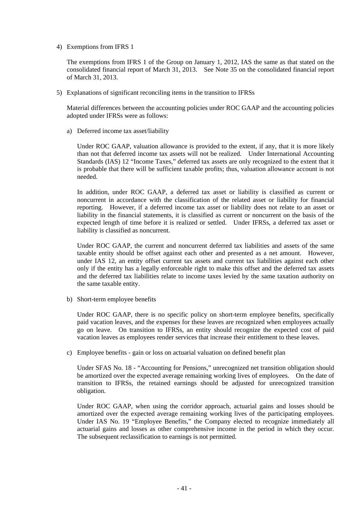4) Exemptions from IFRS 1

The exemptions from IFRS 1 of the Group on January 1, 2012, IAS the same as that stated on the consolidated financial report of March 31, 2013. See Note 35 on the consolidated financial report of March 31, 2013.

5) Explanations of significant reconciling items in the transition to IFRSs

Material differences between the accounting policies under ROC GAAP and the accounting policies adopted under IFRSs were as follows:

a) Deferred income tax asset/liability

Under ROC GAAP, valuation allowance is provided to the extent, if any, that it is more likely than not that deferred income tax assets will not be realized. Under International Accounting Standards (IAS) 12 "Income Taxes," deferred tax assets are only recognized to the extent that it is probable that there will be sufficient taxable profits; thus, valuation allowance account is not needed.

In addition, under ROC GAAP, a deferred tax asset or liability is classified as current or noncurrent in accordance with the classification of the related asset or liability for financial reporting. However, if a deferred income tax asset or liability does not relate to an asset or liability in the financial statements, it is classified as current or noncurrent on the basis of the expected length of time before it is realized or settled. Under IFRSs, a deferred tax asset or liability is classified as noncurrent.

Under ROC GAAP, the current and noncurrent deferred tax liabilities and assets of the same taxable entity should be offset against each other and presented as a net amount. However, under IAS 12, an entity offset current tax assets and current tax liabilities against each other only if the entity has a legally enforceable right to make this offset and the deferred tax assets and the deferred tax liabilities relate to income taxes levied by the same taxation authority on the same taxable entity.

b) Short-term employee benefits

Under ROC GAAP, there is no specific policy on short-term employee benefits, specifically paid vacation leaves, and the expenses for these leaves are recognized when employees actually go on leave. On transition to IFRSs, an entity should recognize the expected cost of paid vacation leaves as employees render services that increase their entitlement to these leaves.

c) Employee benefits - gain or loss on actuarial valuation on defined benefit plan

Under SFAS No. 18 - "Accounting for Pensions," unrecognized net transition obligation should be amortized over the expected average remaining working lives of employees. On the date of transition to IFRSs, the retained earnings should be adjusted for unrecognized transition obligation.

Under ROC GAAP, when using the corridor approach, actuarial gains and losses should be amortized over the expected average remaining working lives of the participating employees. Under IAS No. 19 "Employee Benefits," the Company elected to recognize immediately all actuarial gains and losses as other comprehensive income in the period in which they occur. The subsequent reclassification to earnings is not permitted.